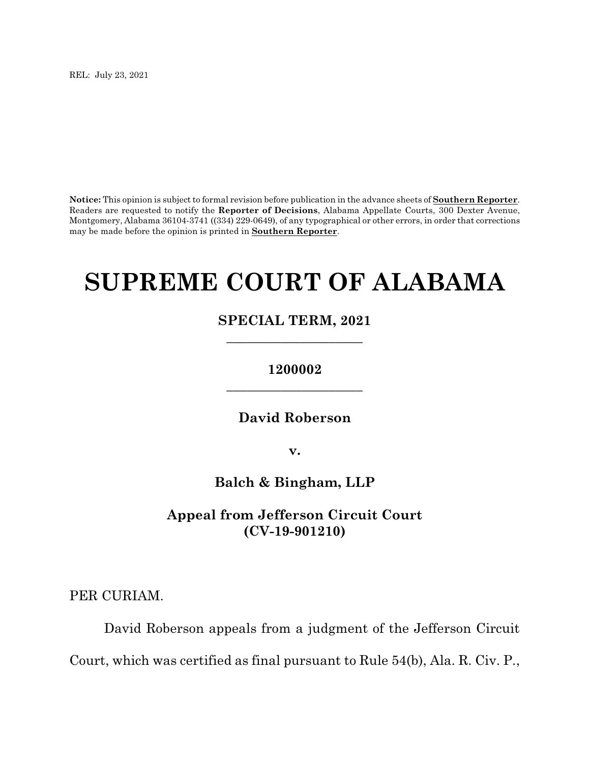REL: July 23, 2021

**Notice:** This opinion is subject to formal revision before publication in the advance sheets of **Southern Reporter**. Readers are requested to notify the **Reporter of Decisions**, Alabama Appellate Courts, 300 Dexter Avenue, Montgomery, Alabama 36104-3741 ((334) 229-0649), of any typographical or other errors, in order that corrections may be made before the opinion is printed in **Southern Reporter**.

# **SUPREME COURT OF ALABAMA**

# **SPECIAL TERM, 2021 \_\_\_\_\_\_\_\_\_\_\_\_\_\_\_\_\_\_\_\_**

# **1200002 \_\_\_\_\_\_\_\_\_\_\_\_\_\_\_\_\_\_\_\_**

**David Roberson**

**v.**

**Balch & Bingham, LLP**

**Appeal from Jefferson Circuit Court (CV-19-901210)**

PER CURIAM.

David Roberson appeals from a judgment of the Jefferson Circuit Court, which was certified as final pursuant to Rule 54(b), Ala. R. Civ. P.,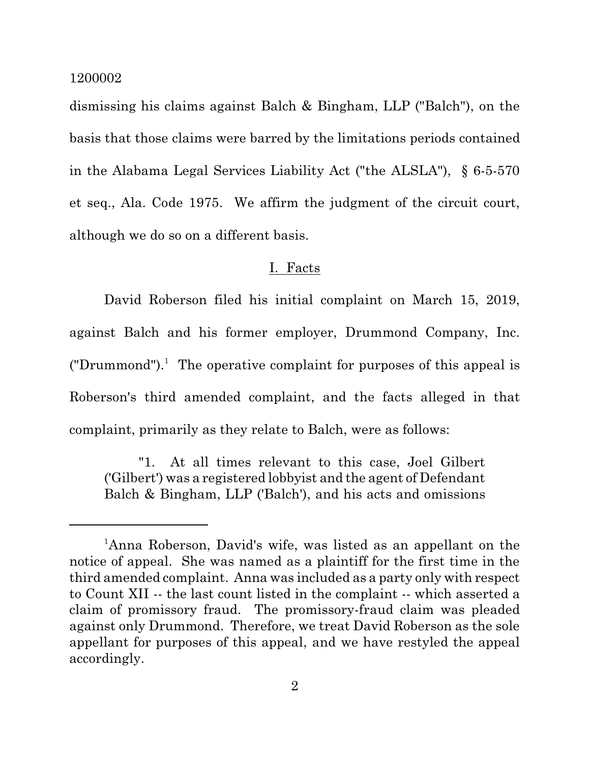dismissing his claims against Balch & Bingham, LLP ("Balch"), on the basis that those claims were barred by the limitations periods contained in the Alabama Legal Services Liability Act ("the ALSLA"), § 6-5-570 et seq., Ala. Code 1975. We affirm the judgment of the circuit court, although we do so on a different basis.

## I. Facts

David Roberson filed his initial complaint on March 15, 2019, against Balch and his former employer, Drummond Company, Inc. ("Drummond").<sup>1</sup> The operative complaint for purposes of this appeal is Roberson's third amended complaint, and the facts alleged in that complaint, primarily as they relate to Balch, were as follows:

"1. At all times relevant to this case, Joel Gilbert ('Gilbert') was a registered lobbyist and the agent of Defendant Balch & Bingham, LLP ('Balch'), and his acts and omissions

<sup>&</sup>lt;sup>1</sup>Anna Roberson, David's wife, was listed as an appellant on the notice of appeal. She was named as a plaintiff for the first time in the third amended complaint. Anna was included as a party only with respect to Count XII -- the last count listed in the complaint -- which asserted a claim of promissory fraud. The promissory-fraud claim was pleaded against only Drummond. Therefore, we treat David Roberson as the sole appellant for purposes of this appeal, and we have restyled the appeal accordingly.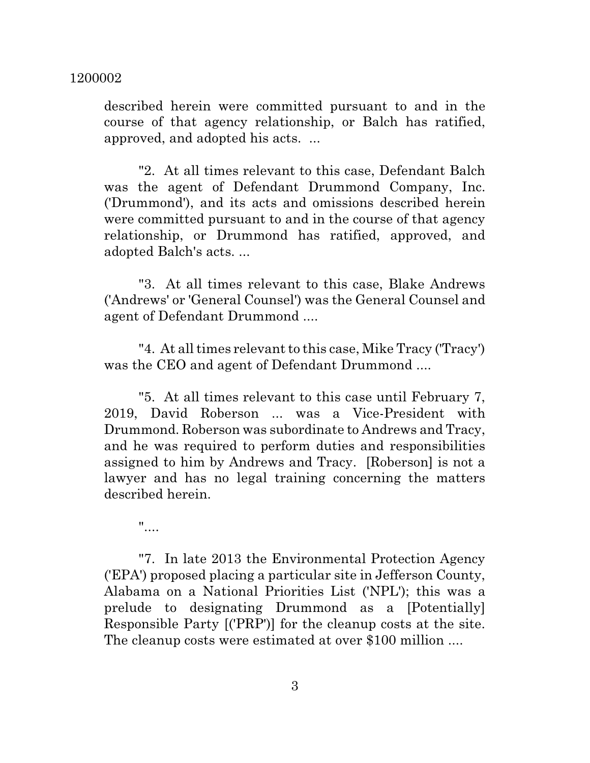described herein were committed pursuant to and in the course of that agency relationship, or Balch has ratified, approved, and adopted his acts. ...

"2. At all times relevant to this case, Defendant Balch was the agent of Defendant Drummond Company, Inc. ('Drummond'), and its acts and omissions described herein were committed pursuant to and in the course of that agency relationship, or Drummond has ratified, approved, and adopted Balch's acts. ...

"3. At all times relevant to this case, Blake Andrews ('Andrews' or 'General Counsel') was the General Counsel and agent of Defendant Drummond ....

"4. At all times relevant to this case, Mike Tracy ('Tracy') was the CEO and agent of Defendant Drummond ....

"5. At all times relevant to this case until February 7, 2019, David Roberson ... was a Vice-President with Drummond. Roberson was subordinate to Andrews and Tracy, and he was required to perform duties and responsibilities assigned to him by Andrews and Tracy. [Roberson] is not a lawyer and has no legal training concerning the matters described herein.

 $"$ ....

"7. In late 2013 the Environmental Protection Agency ('EPA') proposed placing a particular site in Jefferson County, Alabama on a National Priorities List ('NPL'); this was a prelude to designating Drummond as a [Potentially] Responsible Party [('PRP')] for the cleanup costs at the site. The cleanup costs were estimated at over \$100 million ....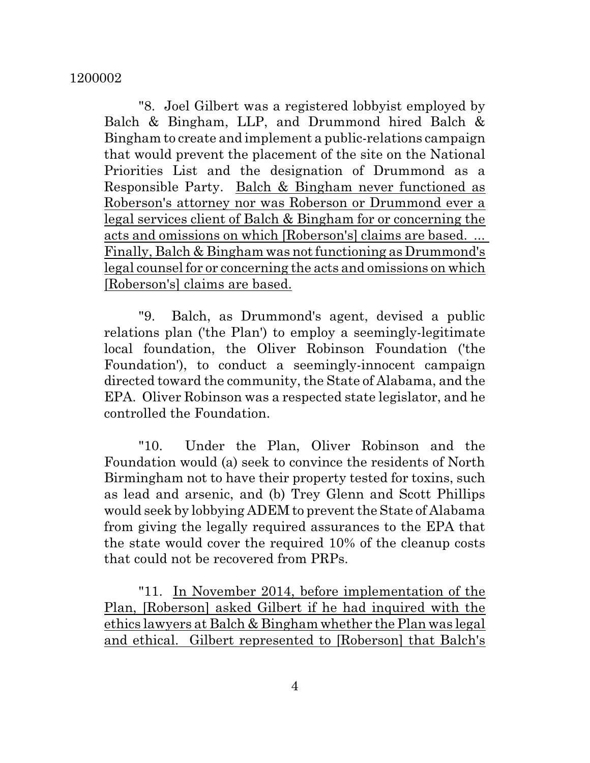"8. Joel Gilbert was a registered lobbyist employed by Balch & Bingham, LLP, and Drummond hired Balch & Bingham to create and implement a public-relations campaign that would prevent the placement of the site on the National Priorities List and the designation of Drummond as a Responsible Party. Balch & Bingham never functioned as Roberson's attorney nor was Roberson or Drummond ever a legal services client of Balch & Bingham for or concerning the acts and omissions on which [Roberson's] claims are based. ... Finally, Balch & Bingham was not functioning as Drummond's legal counsel for or concerning the acts and omissions on which [Roberson's] claims are based.

"9. Balch, as Drummond's agent, devised a public relations plan ('the Plan') to employ a seemingly-legitimate local foundation, the Oliver Robinson Foundation ('the Foundation'), to conduct a seemingly-innocent campaign directed toward the community, the State of Alabama, and the EPA. Oliver Robinson was a respected state legislator, and he controlled the Foundation.

"10. Under the Plan, Oliver Robinson and the Foundation would (a) seek to convince the residents of North Birmingham not to have their property tested for toxins, such as lead and arsenic, and (b) Trey Glenn and Scott Phillips would seek by lobbying ADEM to prevent the State of Alabama from giving the legally required assurances to the EPA that the state would cover the required 10% of the cleanup costs that could not be recovered from PRPs.

"11. In November 2014, before implementation of the Plan, [Roberson] asked Gilbert if he had inquired with the ethics lawyers at Balch & Bingham whether the Plan was legal and ethical. Gilbert represented to [Roberson] that Balch's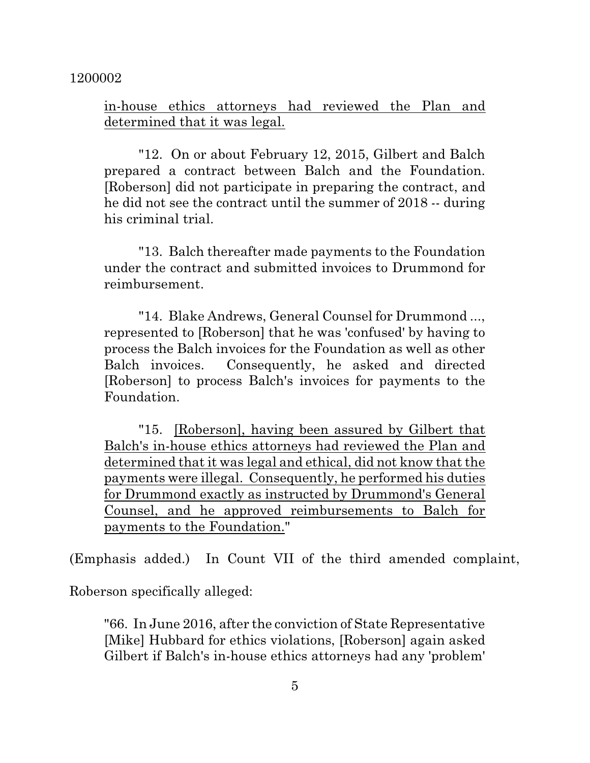in-house ethics attorneys had reviewed the Plan and determined that it was legal.

"12. On or about February 12, 2015, Gilbert and Balch prepared a contract between Balch and the Foundation. [Roberson] did not participate in preparing the contract, and he did not see the contract until the summer of 2018 -- during his criminal trial.

"13. Balch thereafter made payments to the Foundation under the contract and submitted invoices to Drummond for reimbursement.

"14. Blake Andrews, General Counsel for Drummond ..., represented to [Roberson] that he was 'confused' by having to process the Balch invoices for the Foundation as well as other Balch invoices. Consequently, he asked and directed [Roberson] to process Balch's invoices for payments to the Foundation.

"15. [Roberson], having been assured by Gilbert that Balch's in-house ethics attorneys had reviewed the Plan and determined that it was legal and ethical, did not know that the payments were illegal. Consequently, he performed his duties for Drummond exactly as instructed by Drummond's General Counsel, and he approved reimbursements to Balch for payments to the Foundation."

(Emphasis added.) In Count VII of the third amended complaint,

Roberson specifically alleged:

"66. In June 2016, after the conviction of State Representative [Mike] Hubbard for ethics violations, [Roberson] again asked Gilbert if Balch's in-house ethics attorneys had any 'problem'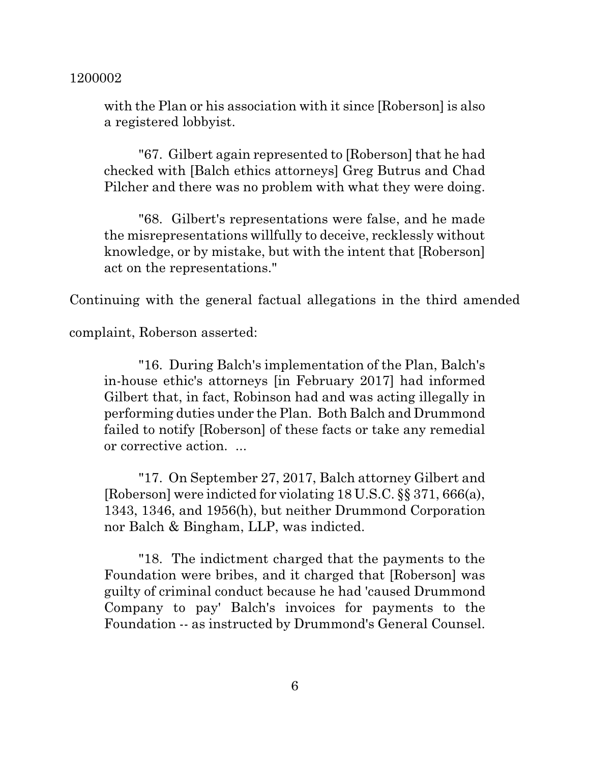with the Plan or his association with it since [Roberson] is also a registered lobbyist.

"67. Gilbert again represented to [Roberson] that he had checked with [Balch ethics attorneys] Greg Butrus and Chad Pilcher and there was no problem with what they were doing.

"68. Gilbert's representations were false, and he made the misrepresentations willfully to deceive, recklessly without knowledge, or by mistake, but with the intent that [Roberson] act on the representations."

Continuing with the general factual allegations in the third amended

complaint, Roberson asserted:

"16. During Balch's implementation of the Plan, Balch's in-house ethic's attorneys [in February 2017] had informed Gilbert that, in fact, Robinson had and was acting illegally in performing duties under the Plan. Both Balch and Drummond failed to notify [Roberson] of these facts or take any remedial or corrective action. ...

"17. On September 27, 2017, Balch attorney Gilbert and [Roberson] were indicted for violating 18 U.S.C. §§ 371, 666(a), 1343, 1346, and 1956(h), but neither Drummond Corporation nor Balch & Bingham, LLP, was indicted.

"18. The indictment charged that the payments to the Foundation were bribes, and it charged that [Roberson] was guilty of criminal conduct because he had 'caused Drummond Company to pay' Balch's invoices for payments to the Foundation -- as instructed by Drummond's General Counsel.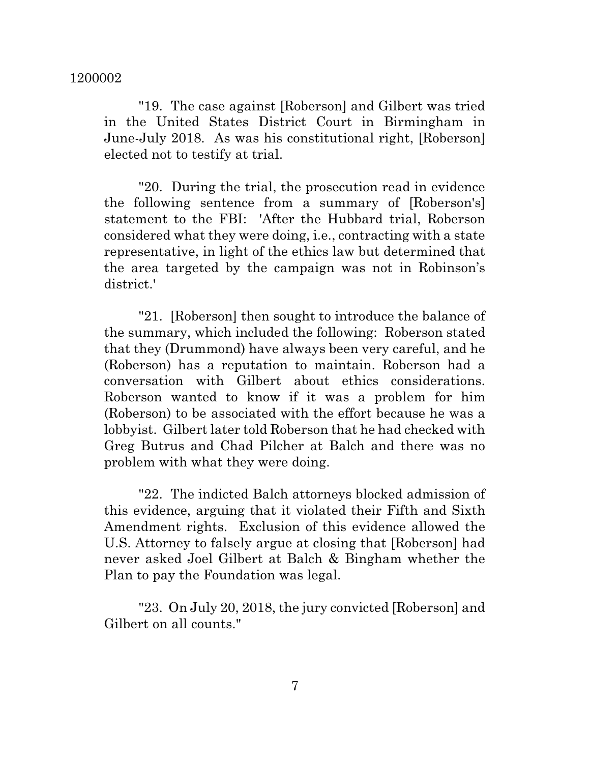"19. The case against [Roberson] and Gilbert was tried in the United States District Court in Birmingham in June-July 2018. As was his constitutional right, [Roberson] elected not to testify at trial.

"20. During the trial, the prosecution read in evidence the following sentence from a summary of [Roberson's] statement to the FBI: 'After the Hubbard trial, Roberson considered what they were doing, i.e., contracting with a state representative, in light of the ethics law but determined that the area targeted by the campaign was not in Robinson's district.'

"21. [Roberson] then sought to introduce the balance of the summary, which included the following: Roberson stated that they (Drummond) have always been very careful, and he (Roberson) has a reputation to maintain. Roberson had a conversation with Gilbert about ethics considerations. Roberson wanted to know if it was a problem for him (Roberson) to be associated with the effort because he was a lobbyist. Gilbert later told Roberson that he had checked with Greg Butrus and Chad Pilcher at Balch and there was no problem with what they were doing.

"22. The indicted Balch attorneys blocked admission of this evidence, arguing that it violated their Fifth and Sixth Amendment rights. Exclusion of this evidence allowed the U.S. Attorney to falsely argue at closing that [Roberson] had never asked Joel Gilbert at Balch & Bingham whether the Plan to pay the Foundation was legal.

"23. On July 20, 2018, the jury convicted [Roberson] and Gilbert on all counts."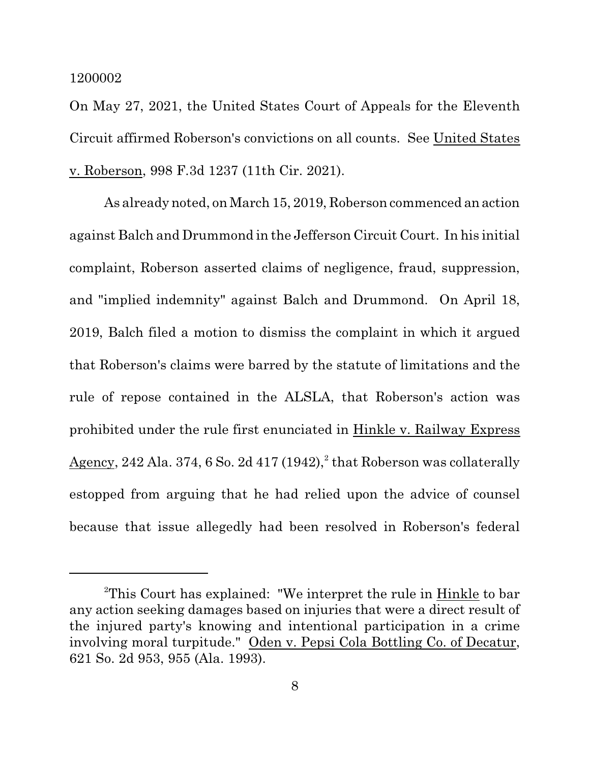On May 27, 2021, the United States Court of Appeals for the Eleventh Circuit affirmed Roberson's convictions on all counts. See United States v. Roberson, 998 F.3d 1237 (11th Cir. 2021).

As already noted, on March 15, 2019, Roberson commenced an action against Balch and Drummond in the Jefferson Circuit Court. In his initial complaint, Roberson asserted claims of negligence, fraud, suppression, and "implied indemnity" against Balch and Drummond. On April 18, 2019, Balch filed a motion to dismiss the complaint in which it argued that Roberson's claims were barred by the statute of limitations and the rule of repose contained in the ALSLA, that Roberson's action was prohibited under the rule first enunciated in Hinkle v. Railway Express  $\rm{Agency}, 242$  Ala. 374, 6 So. 2d 417 (1942), $^2$  that Roberson was collaterally estopped from arguing that he had relied upon the advice of counsel because that issue allegedly had been resolved in Roberson's federal

<sup>2</sup>This Court has explained: "We interpret the rule in Hinkle to bar any action seeking damages based on injuries that were a direct result of the injured party's knowing and intentional participation in a crime involving moral turpitude." Oden v. Pepsi Cola Bottling Co. of Decatur, 621 So. 2d 953, 955 (Ala. 1993).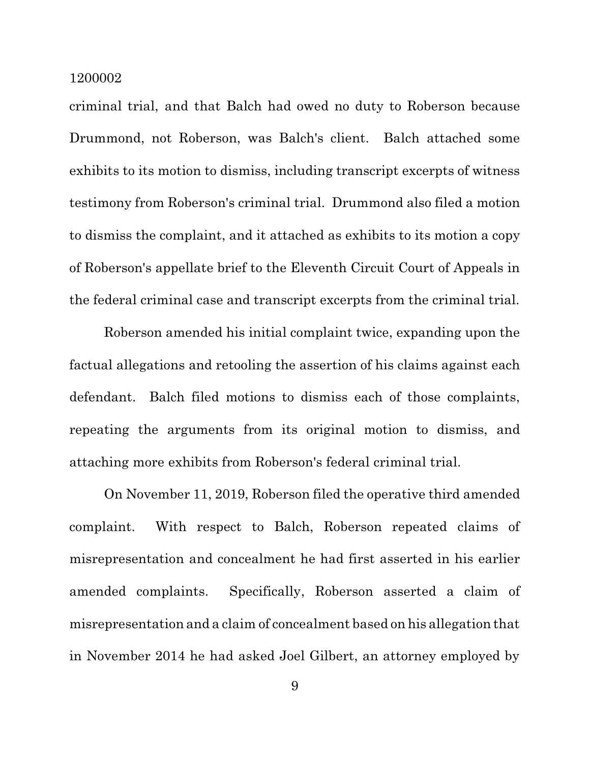criminal trial, and that Balch had owed no duty to Roberson because Drummond, not Roberson, was Balch's client. Balch attached some exhibits to its motion to dismiss, including transcript excerpts of witness testimony from Roberson's criminal trial. Drummond also filed a motion to dismiss the complaint, and it attached as exhibits to its motion a copy of Roberson's appellate brief to the Eleventh Circuit Court of Appeals in the federal criminal case and transcript excerpts from the criminal trial.

Roberson amended his initial complaint twice, expanding upon the factual allegations and retooling the assertion of his claims against each defendant. Balch filed motions to dismiss each of those complaints, repeating the arguments from its original motion to dismiss, and attaching more exhibits from Roberson's federal criminal trial.

On November 11, 2019, Roberson filed the operative third amended complaint. With respect to Balch, Roberson repeated claims of misrepresentation and concealment he had first asserted in his earlier amended complaints. Specifically, Roberson asserted a claim of misrepresentation and a claim of concealment based on his allegation that in November 2014 he had asked Joel Gilbert, an attorney employed by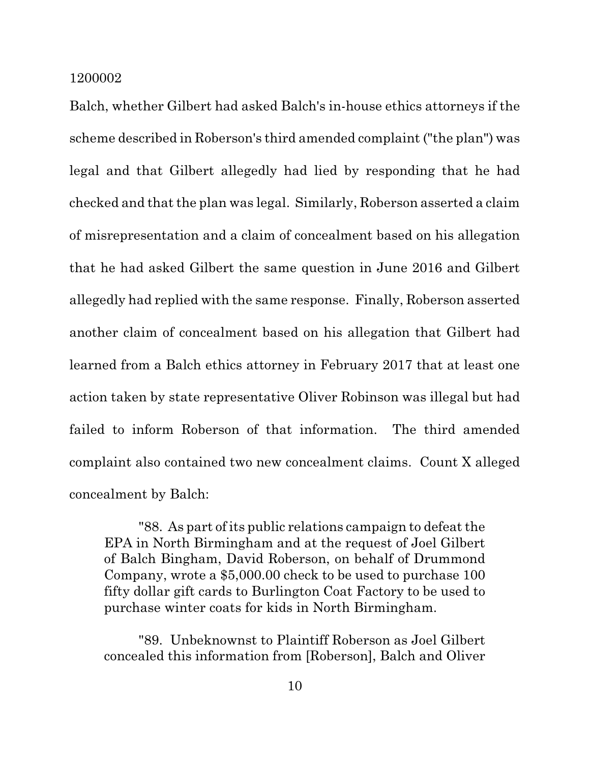Balch, whether Gilbert had asked Balch's in-house ethics attorneys if the scheme described in Roberson's third amended complaint ("the plan") was legal and that Gilbert allegedly had lied by responding that he had checked and that the plan was legal. Similarly, Roberson asserted a claim of misrepresentation and a claim of concealment based on his allegation that he had asked Gilbert the same question in June 2016 and Gilbert allegedly had replied with the same response. Finally, Roberson asserted another claim of concealment based on his allegation that Gilbert had learned from a Balch ethics attorney in February 2017 that at least one action taken by state representative Oliver Robinson was illegal but had failed to inform Roberson of that information. The third amended complaint also contained two new concealment claims. Count X alleged concealment by Balch:

"88. As part of its public relations campaign to defeat the EPA in North Birmingham and at the request of Joel Gilbert of Balch Bingham, David Roberson, on behalf of Drummond Company, wrote a \$5,000.00 check to be used to purchase 100 fifty dollar gift cards to Burlington Coat Factory to be used to purchase winter coats for kids in North Birmingham.

"89. Unbeknownst to Plaintiff Roberson as Joel Gilbert concealed this information from [Roberson], Balch and Oliver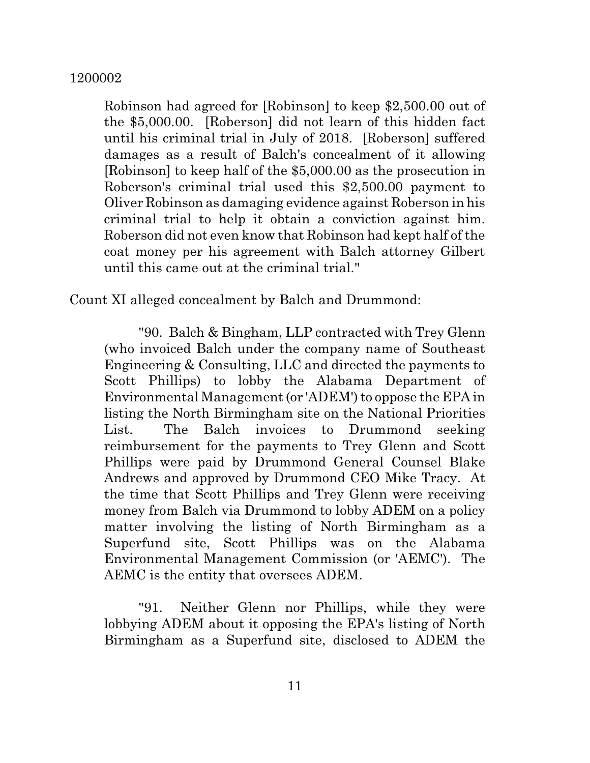Robinson had agreed for [Robinson] to keep \$2,500.00 out of the \$5,000.00. [Roberson] did not learn of this hidden fact until his criminal trial in July of 2018. [Roberson] suffered damages as a result of Balch's concealment of it allowing [Robinson] to keep half of the \$5,000.00 as the prosecution in Roberson's criminal trial used this \$2,500.00 payment to Oliver Robinson as damaging evidence against Roberson in his criminal trial to help it obtain a conviction against him. Roberson did not even know that Robinson had kept half of the coat money per his agreement with Balch attorney Gilbert until this came out at the criminal trial."

Count XI alleged concealment by Balch and Drummond:

"90. Balch & Bingham, LLP contracted with Trey Glenn (who invoiced Balch under the company name of Southeast Engineering & Consulting, LLC and directed the payments to Scott Phillips) to lobby the Alabama Department of Environmental Management(or 'ADEM') to oppose the EPA in listing the North Birmingham site on the National Priorities List. The Balch invoices to Drummond seeking reimbursement for the payments to Trey Glenn and Scott Phillips were paid by Drummond General Counsel Blake Andrews and approved by Drummond CEO Mike Tracy. At the time that Scott Phillips and Trey Glenn were receiving money from Balch via Drummond to lobby ADEM on a policy matter involving the listing of North Birmingham as a Superfund site, Scott Phillips was on the Alabama Environmental Management Commission (or 'AEMC'). The AEMC is the entity that oversees ADEM.

"91. Neither Glenn nor Phillips, while they were lobbying ADEM about it opposing the EPA's listing of North Birmingham as a Superfund site, disclosed to ADEM the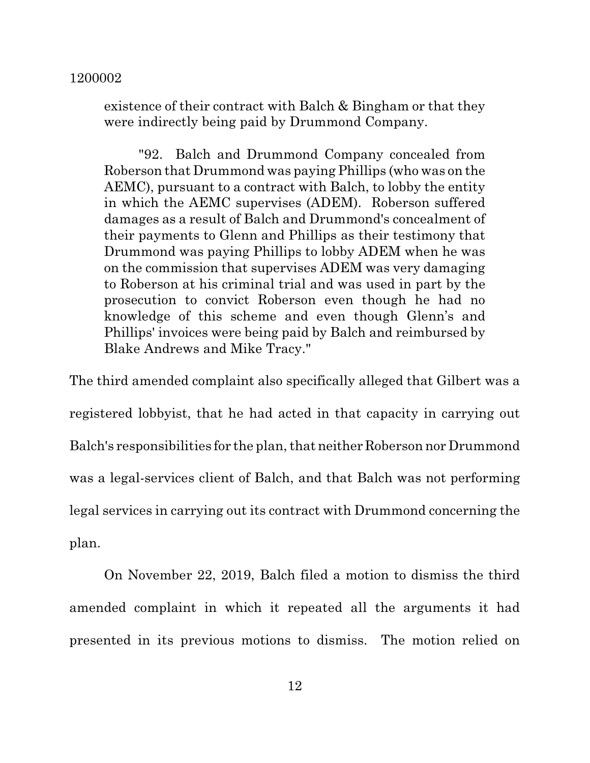existence of their contract with Balch & Bingham or that they were indirectly being paid by Drummond Company.

"92. Balch and Drummond Company concealed from Roberson that Drummond was paying Phillips (who was on the AEMC), pursuant to a contract with Balch, to lobby the entity in which the AEMC supervises (ADEM). Roberson suffered damages as a result of Balch and Drummond's concealment of their payments to Glenn and Phillips as their testimony that Drummond was paying Phillips to lobby ADEM when he was on the commission that supervises ADEM was very damaging to Roberson at his criminal trial and was used in part by the prosecution to convict Roberson even though he had no knowledge of this scheme and even though Glenn's and Phillips' invoices were being paid by Balch and reimbursed by Blake Andrews and Mike Tracy."

The third amended complaint also specifically alleged that Gilbert was a registered lobbyist, that he had acted in that capacity in carrying out Balch's responsibilities for the plan, that neither Roberson nor Drummond was a legal-services client of Balch, and that Balch was not performing legal services in carrying out its contract with Drummond concerning the plan.

On November 22, 2019, Balch filed a motion to dismiss the third amended complaint in which it repeated all the arguments it had presented in its previous motions to dismiss. The motion relied on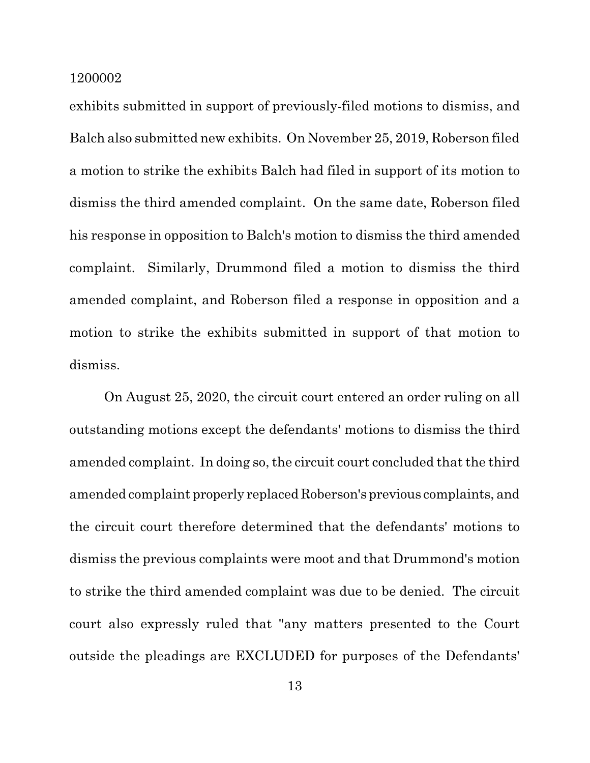exhibits submitted in support of previously-filed motions to dismiss, and Balch also submitted new exhibits. On November 25, 2019, Roberson filed a motion to strike the exhibits Balch had filed in support of its motion to dismiss the third amended complaint. On the same date, Roberson filed his response in opposition to Balch's motion to dismiss the third amended complaint. Similarly, Drummond filed a motion to dismiss the third amended complaint, and Roberson filed a response in opposition and a motion to strike the exhibits submitted in support of that motion to dismiss.

On August 25, 2020, the circuit court entered an order ruling on all outstanding motions except the defendants' motions to dismiss the third amended complaint. In doing so, the circuit court concluded that the third amended complaint properly replaced Roberson's previous complaints, and the circuit court therefore determined that the defendants' motions to dismiss the previous complaints were moot and that Drummond's motion to strike the third amended complaint was due to be denied. The circuit court also expressly ruled that "any matters presented to the Court outside the pleadings are EXCLUDED for purposes of the Defendants'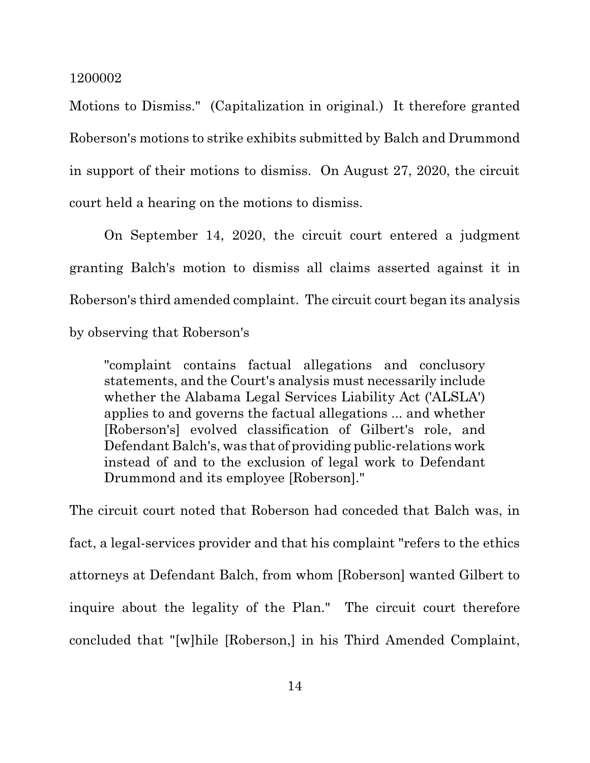Motions to Dismiss." (Capitalization in original.) It therefore granted Roberson's motions to strike exhibits submitted by Balch and Drummond in support of their motions to dismiss. On August 27, 2020, the circuit court held a hearing on the motions to dismiss.

On September 14, 2020, the circuit court entered a judgment granting Balch's motion to dismiss all claims asserted against it in Roberson's third amended complaint. The circuit court began its analysis by observing that Roberson's

"complaint contains factual allegations and conclusory statements, and the Court's analysis must necessarily include whether the Alabama Legal Services Liability Act ('ALSLA') applies to and governs the factual allegations ... and whether [Roberson's] evolved classification of Gilbert's role, and Defendant Balch's, was that of providing public-relations work instead of and to the exclusion of legal work to Defendant Drummond and its employee [Roberson]."

The circuit court noted that Roberson had conceded that Balch was, in fact, a legal-services provider and that his complaint "refers to the ethics attorneys at Defendant Balch, from whom [Roberson] wanted Gilbert to inquire about the legality of the Plan." The circuit court therefore concluded that "[w]hile [Roberson,] in his Third Amended Complaint,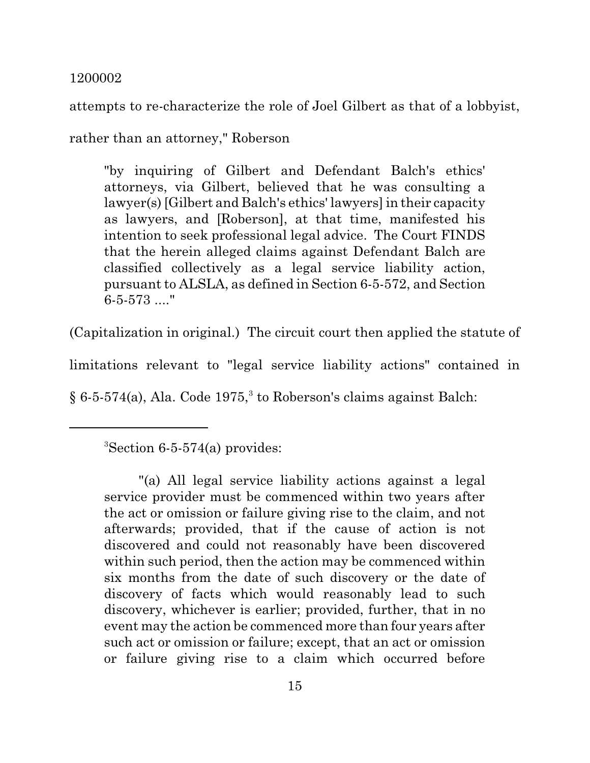attempts to re-characterize the role of Joel Gilbert as that of a lobbyist,

rather than an attorney," Roberson

"by inquiring of Gilbert and Defendant Balch's ethics' attorneys, via Gilbert, believed that he was consulting a lawyer(s) [Gilbert and Balch's ethics' lawyers] in their capacity as lawyers, and [Roberson], at that time, manifested his intention to seek professional legal advice. The Court FINDS that the herein alleged claims against Defendant Balch are classified collectively as a legal service liability action, pursuant to ALSLA, as defined in Section 6-5-572, and Section 6-5-573 ...."

(Capitalization in original.) The circuit court then applied the statute of

limitations relevant to "legal service liability actions" contained in

 $\S 6$ -5-574(a), Ala. Code 1975,<sup>3</sup> to Roberson's claims against Balch:

 ${}^{3}$ Section 6-5-574(a) provides:

<sup>&</sup>quot;(a) All legal service liability actions against a legal service provider must be commenced within two years after the act or omission or failure giving rise to the claim, and not afterwards; provided, that if the cause of action is not discovered and could not reasonably have been discovered within such period, then the action may be commenced within six months from the date of such discovery or the date of discovery of facts which would reasonably lead to such discovery, whichever is earlier; provided, further, that in no event may the action be commenced more than four years after such act or omission or failure; except, that an act or omission or failure giving rise to a claim which occurred before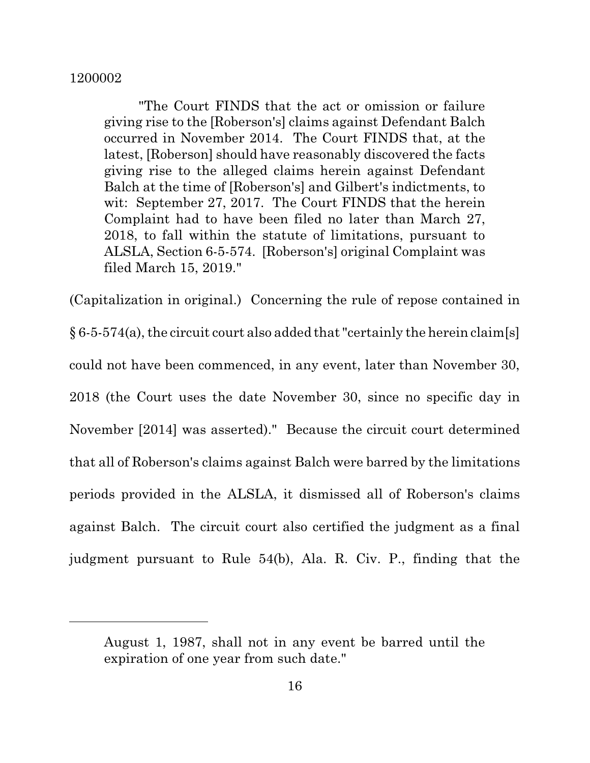"The Court FINDS that the act or omission or failure giving rise to the [Roberson's] claims against Defendant Balch occurred in November 2014. The Court FINDS that, at the latest, [Roberson] should have reasonably discovered the facts giving rise to the alleged claims herein against Defendant Balch at the time of [Roberson's] and Gilbert's indictments, to wit: September 27, 2017. The Court FINDS that the herein Complaint had to have been filed no later than March 27, 2018, to fall within the statute of limitations, pursuant to ALSLA, Section 6-5-574. [Roberson's] original Complaint was filed March 15, 2019."

(Capitalization in original.) Concerning the rule of repose contained in  $§ 6-5-574(a)$ , the circuit court also added that "certainly the herein claim[s] could not have been commenced, in any event, later than November 30, 2018 (the Court uses the date November 30, since no specific day in November [2014] was asserted)." Because the circuit court determined that all of Roberson's claims against Balch were barred by the limitations periods provided in the ALSLA, it dismissed all of Roberson's claims against Balch. The circuit court also certified the judgment as a final judgment pursuant to Rule 54(b), Ala. R. Civ. P., finding that the

August 1, 1987, shall not in any event be barred until the expiration of one year from such date."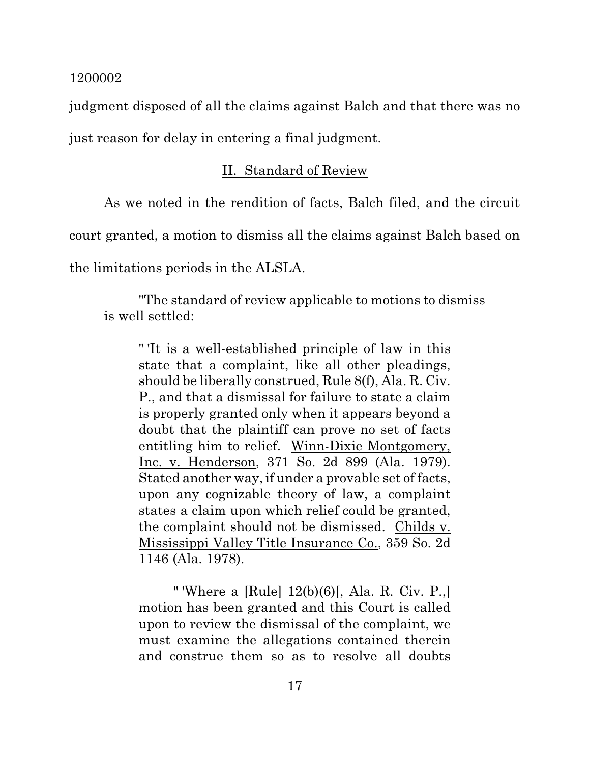judgment disposed of all the claims against Balch and that there was no just reason for delay in entering a final judgment.

## II. Standard of Review

As we noted in the rendition of facts, Balch filed, and the circuit

court granted, a motion to dismiss all the claims against Balch based on

the limitations periods in the ALSLA.

"The standard of review applicable to motions to dismiss is well settled:

" 'It is a well-established principle of law in this state that a complaint, like all other pleadings, should be liberally construed, Rule 8(f), Ala. R. Civ. P., and that a dismissal for failure to state a claim is properly granted only when it appears beyond a doubt that the plaintiff can prove no set of facts entitling him to relief. Winn-Dixie Montgomery, Inc. v. Henderson, 371 So. 2d 899 (Ala. 1979). Stated another way, if under a provable set of facts, upon any cognizable theory of law, a complaint states a claim upon which relief could be granted, the complaint should not be dismissed. Childs v. Mississippi Valley Title Insurance Co., 359 So. 2d 1146 (Ala. 1978).

" 'Where a [Rule] 12(b)(6)[, Ala. R. Civ. P.,] motion has been granted and this Court is called upon to review the dismissal of the complaint, we must examine the allegations contained therein and construe them so as to resolve all doubts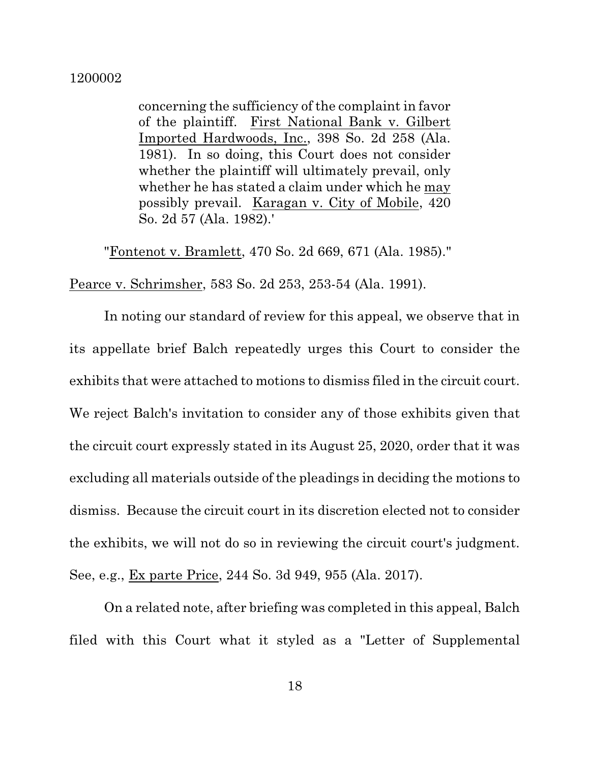concerning the sufficiency of the complaint in favor of the plaintiff. First National Bank v. Gilbert Imported Hardwoods, Inc., 398 So. 2d 258 (Ala. 1981). In so doing, this Court does not consider whether the plaintiff will ultimately prevail, only whether he has stated a claim under which he may possibly prevail. Karagan v. City of Mobile, 420 So. 2d 57 (Ala. 1982).'

"Fontenot v. Bramlett, 470 So. 2d 669, 671 (Ala. 1985)."

Pearce v. Schrimsher, 583 So. 2d 253, 253-54 (Ala. 1991).

In noting our standard of review for this appeal, we observe that in its appellate brief Balch repeatedly urges this Court to consider the exhibits that were attached to motions to dismiss filed in the circuit court. We reject Balch's invitation to consider any of those exhibits given that the circuit court expressly stated in its August 25, 2020, order that it was excluding all materials outside of the pleadings in deciding the motions to dismiss. Because the circuit court in its discretion elected not to consider the exhibits, we will not do so in reviewing the circuit court's judgment. See, e.g., Ex parte Price, 244 So. 3d 949, 955 (Ala. 2017).

On a related note, after briefing was completed in this appeal, Balch filed with this Court what it styled as a "Letter of Supplemental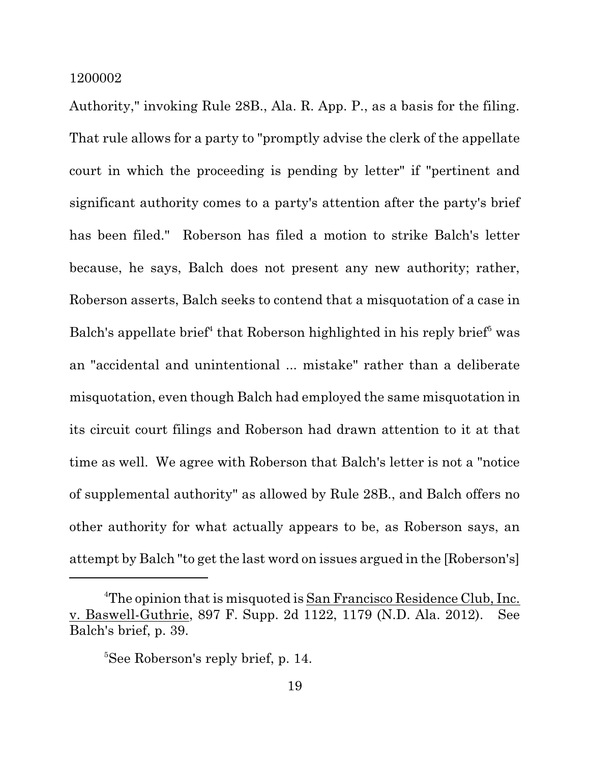Authority," invoking Rule 28B., Ala. R. App. P., as a basis for the filing. That rule allows for a party to "promptly advise the clerk of the appellate court in which the proceeding is pending by letter" if "pertinent and significant authority comes to a party's attention after the party's brief has been filed." Roberson has filed a motion to strike Balch's letter because, he says, Balch does not present any new authority; rather, Roberson asserts, Balch seeks to contend that a misquotation of a case in Balch's appellate brief<sup>4</sup> that Roberson highlighted in his reply brief<sup>5</sup> was an "accidental and unintentional ... mistake" rather than a deliberate misquotation, even though Balch had employed the same misquotation in its circuit court filings and Roberson had drawn attention to it at that time as well. We agree with Roberson that Balch's letter is not a "notice of supplemental authority" as allowed by Rule 28B., and Balch offers no other authority for what actually appears to be, as Roberson says, an attempt by Balch "to get the last word on issues argued in the [Roberson's]

<sup>&</sup>lt;sup>4</sup>The opinion that is misquoted is San Francisco Residence Club, Inc. v. Baswell-Guthrie, 897 F. Supp. 2d 1122, 1179 (N.D. Ala. 2012). See Balch's brief, p. 39.

<sup>&</sup>lt;sup>5</sup>See Roberson's reply brief, p. 14.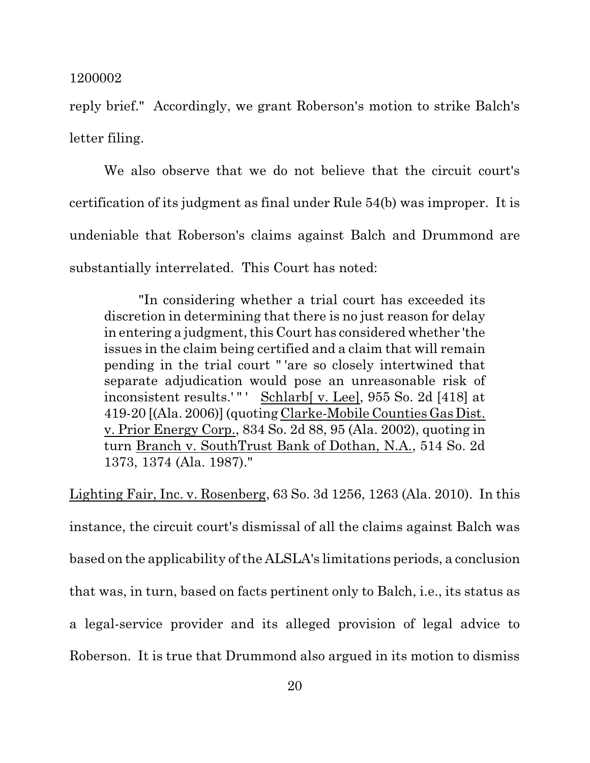reply brief." Accordingly, we grant Roberson's motion to strike Balch's letter filing.

We also observe that we do not believe that the circuit court's certification of its judgment as final under Rule 54(b) was improper. It is undeniable that Roberson's claims against Balch and Drummond are substantially interrelated. This Court has noted:

"In considering whether a trial court has exceeded its discretion in determining that there is no just reason for delay in entering a judgment, this Court has considered whether 'the issues in the claim being certified and a claim that will remain pending in the trial court " 'are so closely intertwined that separate adjudication would pose an unreasonable risk of inconsistent results.'"' Schlarb[ v. Lee], 955 So. 2d [418] at 419-20 [(Ala. 2006)] (quoting Clarke-Mobile CountiesGasDist. v. Prior Energy Corp., 834 So. 2d 88, 95 (Ala. 2002), quoting in turn Branch v. SouthTrust Bank of Dothan, N.A., 514 So. 2d 1373, 1374 (Ala. 1987)."

Lighting Fair, Inc. v. Rosenberg, 63 So. 3d 1256, 1263 (Ala. 2010). In this instance, the circuit court's dismissal of all the claims against Balch was based on the applicability of the ALSLA's limitations periods, a conclusion that was, in turn, based on facts pertinent only to Balch, i.e., its status as a legal-service provider and its alleged provision of legal advice to Roberson. It is true that Drummond also argued in its motion to dismiss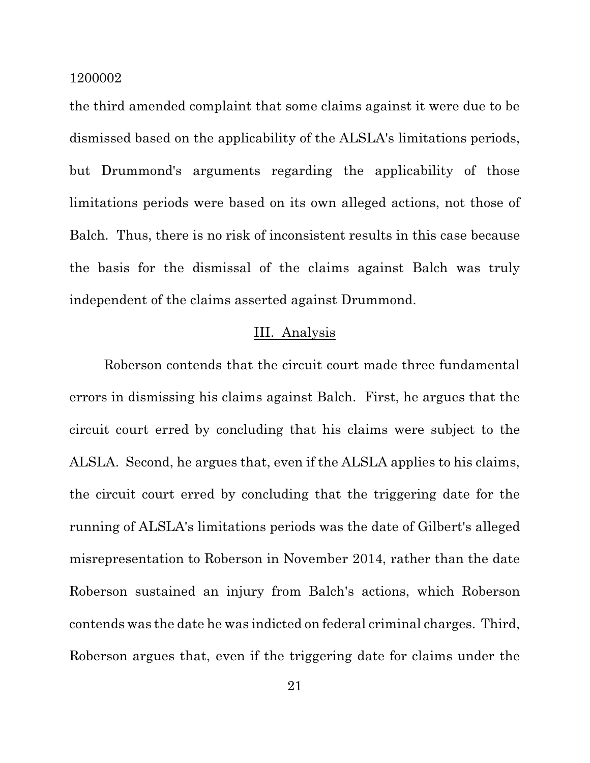the third amended complaint that some claims against it were due to be dismissed based on the applicability of the ALSLA's limitations periods, but Drummond's arguments regarding the applicability of those limitations periods were based on its own alleged actions, not those of Balch. Thus, there is no risk of inconsistent results in this case because the basis for the dismissal of the claims against Balch was truly independent of the claims asserted against Drummond.

## III. Analysis

Roberson contends that the circuit court made three fundamental errors in dismissing his claims against Balch. First, he argues that the circuit court erred by concluding that his claims were subject to the ALSLA. Second, he argues that, even if the ALSLA applies to his claims, the circuit court erred by concluding that the triggering date for the running of ALSLA's limitations periods was the date of Gilbert's alleged misrepresentation to Roberson in November 2014, rather than the date Roberson sustained an injury from Balch's actions, which Roberson contends was the date he was indicted on federal criminal charges. Third, Roberson argues that, even if the triggering date for claims under the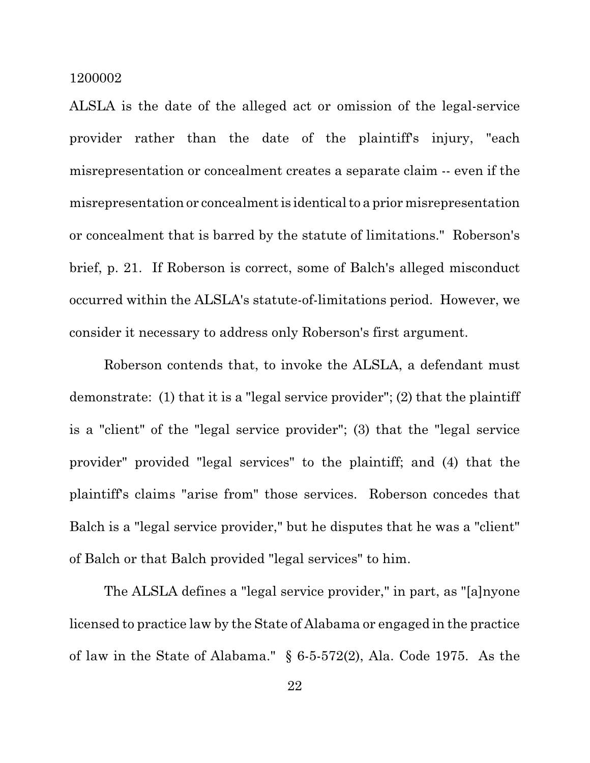ALSLA is the date of the alleged act or omission of the legal-service provider rather than the date of the plaintiff's injury, "each misrepresentation or concealment creates a separate claim -- even if the misrepresentation or concealment is identical to a prior misrepresentation or concealment that is barred by the statute of limitations." Roberson's brief, p. 21. If Roberson is correct, some of Balch's alleged misconduct occurred within the ALSLA's statute-of-limitations period. However, we consider it necessary to address only Roberson's first argument.

Roberson contends that, to invoke the ALSLA, a defendant must demonstrate: (1) that it is a "legal service provider"; (2) that the plaintiff is a "client" of the "legal service provider"; (3) that the "legal service provider" provided "legal services" to the plaintiff; and (4) that the plaintiff's claims "arise from" those services. Roberson concedes that Balch is a "legal service provider," but he disputes that he was a "client" of Balch or that Balch provided "legal services" to him.

The ALSLA defines a "legal service provider," in part, as "[a]nyone licensed to practice law by the State of Alabama or engaged in the practice of law in the State of Alabama." § 6-5-572(2), Ala. Code 1975. As the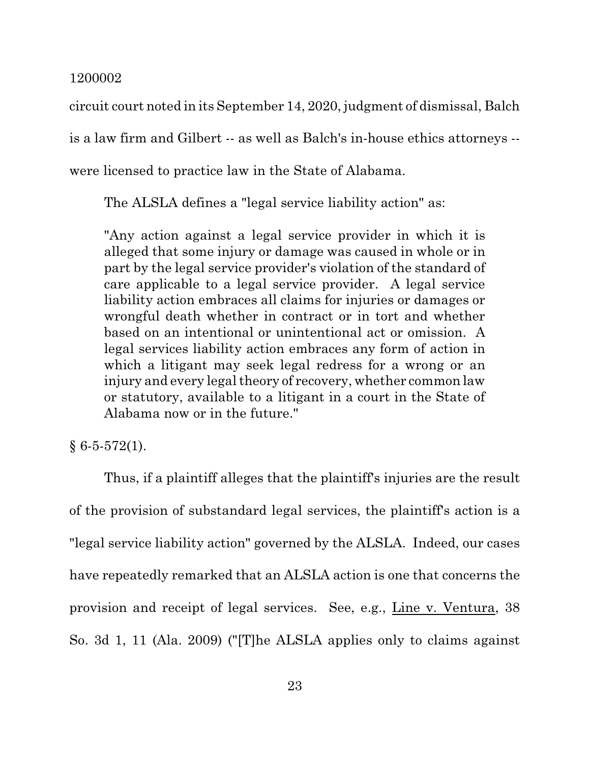circuit court noted in its September 14, 2020, judgment of dismissal, Balch

is a law firm and Gilbert -- as well as Balch's in-house ethics attorneys --

were licensed to practice law in the State of Alabama.

The ALSLA defines a "legal service liability action" as:

"Any action against a legal service provider in which it is alleged that some injury or damage was caused in whole or in part by the legal service provider's violation of the standard of care applicable to a legal service provider. A legal service liability action embraces all claims for injuries or damages or wrongful death whether in contract or in tort and whether based on an intentional or unintentional act or omission. A legal services liability action embraces any form of action in which a litigant may seek legal redress for a wrong or an injury and every legal theory of recovery, whether common law or statutory, available to a litigant in a court in the State of Alabama now or in the future."

 $§ 6-5-572(1).$ 

Thus, if a plaintiff alleges that the plaintiff's injuries are the result of the provision of substandard legal services, the plaintiff's action is a "legal service liability action" governed by the ALSLA. Indeed, our cases have repeatedly remarked that an ALSLA action is one that concerns the provision and receipt of legal services. See, e.g., Line v. Ventura, 38 So. 3d 1, 11 (Ala. 2009) ("[T]he ALSLA applies only to claims against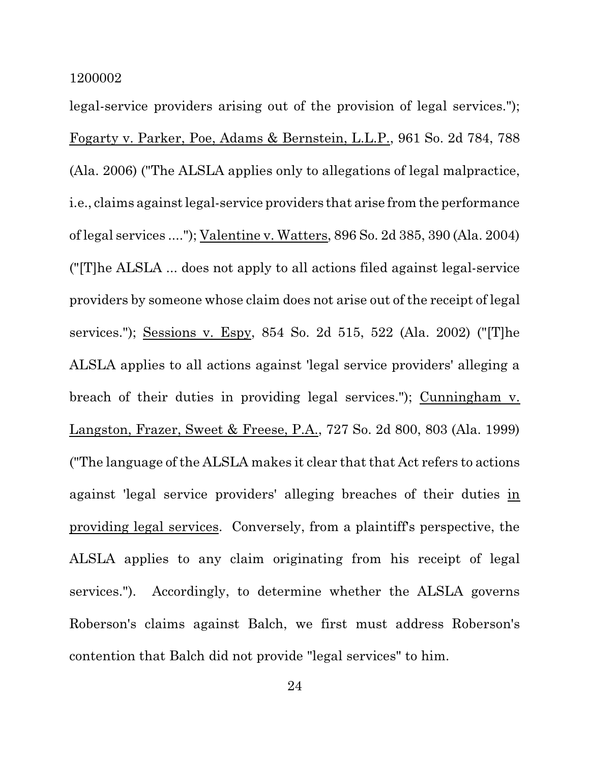legal-service providers arising out of the provision of legal services."); Fogarty v. Parker, Poe, Adams & Bernstein, L.L.P., 961 So. 2d 784, 788 (Ala. 2006) ("The ALSLA applies only to allegations of legal malpractice, i.e., claims againstlegal-service providers that arise from the performance of legal services ...."); Valentine v. Watters, 896 So. 2d 385, 390 (Ala. 2004) ("[T]he ALSLA ... does not apply to all actions filed against legal-service providers by someone whose claim does not arise out of the receipt of legal services."); Sessions v. Espy, 854 So. 2d 515, 522 (Ala. 2002) ("[T]he ALSLA applies to all actions against 'legal service providers' alleging a breach of their duties in providing legal services."); Cunningham v. Langston, Frazer, Sweet & Freese, P.A., 727 So. 2d 800, 803 (Ala. 1999) ("The language of the ALSLA makes it clear that that Act refers to actions against 'legal service providers' alleging breaches of their duties in providing legal services. Conversely, from a plaintiff's perspective, the ALSLA applies to any claim originating from his receipt of legal services."). Accordingly, to determine whether the ALSLA governs Roberson's claims against Balch, we first must address Roberson's contention that Balch did not provide "legal services" to him.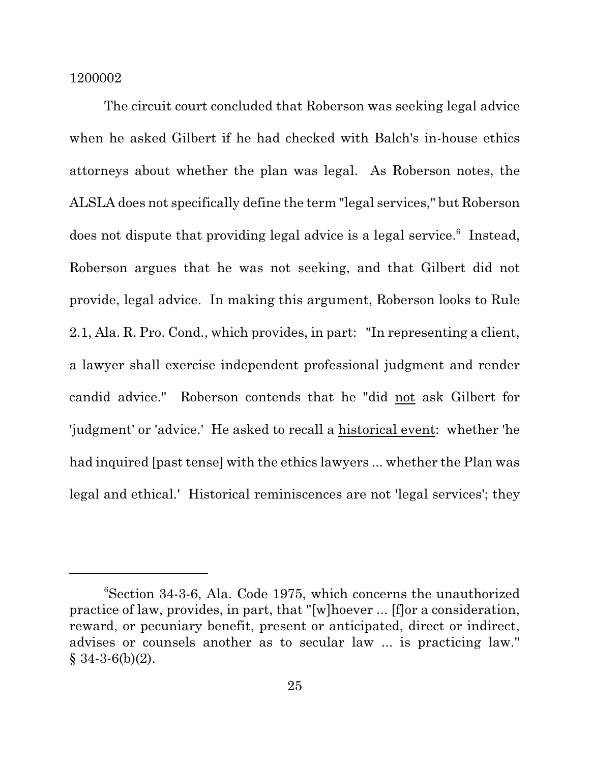The circuit court concluded that Roberson was seeking legal advice when he asked Gilbert if he had checked with Balch's in-house ethics attorneys about whether the plan was legal. As Roberson notes, the ALSLA does not specifically define the term "legal services," but Roberson does not dispute that providing legal advice is a legal service.<sup>6</sup> Instead, Roberson argues that he was not seeking, and that Gilbert did not provide, legal advice. In making this argument, Roberson looks to Rule 2.1, Ala. R. Pro. Cond., which provides, in part: "In representing a client, a lawyer shall exercise independent professional judgment and render candid advice." Roberson contends that he "did not ask Gilbert for 'judgment' or 'advice.' He asked to recall a historical event: whether 'he had inquired [past tense] with the ethics lawyers ... whether the Plan was legal and ethical.' Historical reminiscences are not 'legal services'; they

<sup>6</sup>Section 34-3-6, Ala. Code 1975, which concerns the unauthorized practice of law, provides, in part, that "[w]hoever ... [f]or a consideration, reward, or pecuniary benefit, present or anticipated, direct or indirect, advises or counsels another as to secular law ... is practicing law."  $§ 34-3-6(b)(2).$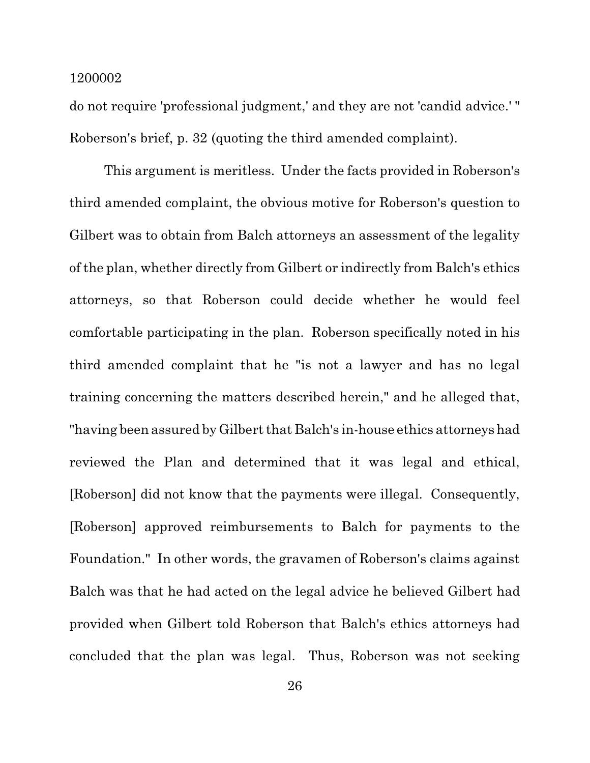do not require 'professional judgment,' and they are not 'candid advice.' " Roberson's brief, p. 32 (quoting the third amended complaint).

This argument is meritless. Under the facts provided in Roberson's third amended complaint, the obvious motive for Roberson's question to Gilbert was to obtain from Balch attorneys an assessment of the legality of the plan, whether directly from Gilbert or indirectly from Balch's ethics attorneys, so that Roberson could decide whether he would feel comfortable participating in the plan. Roberson specifically noted in his third amended complaint that he "is not a lawyer and has no legal training concerning the matters described herein," and he alleged that, "having been assured by Gilbert that Balch's in-house ethics attorneys had reviewed the Plan and determined that it was legal and ethical, [Roberson] did not know that the payments were illegal. Consequently, [Roberson] approved reimbursements to Balch for payments to the Foundation." In other words, the gravamen of Roberson's claims against Balch was that he had acted on the legal advice he believed Gilbert had provided when Gilbert told Roberson that Balch's ethics attorneys had concluded that the plan was legal. Thus, Roberson was not seeking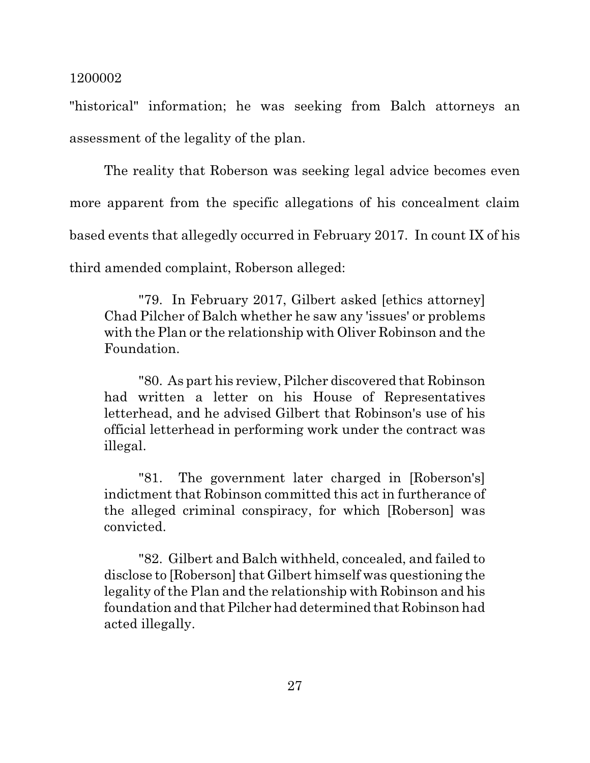"historical" information; he was seeking from Balch attorneys an assessment of the legality of the plan.

The reality that Roberson was seeking legal advice becomes even more apparent from the specific allegations of his concealment claim based events that allegedly occurred in February 2017. In count IX of his third amended complaint, Roberson alleged:

"79. In February 2017, Gilbert asked [ethics attorney] Chad Pilcher of Balch whether he saw any 'issues' or problems with the Plan or the relationship with Oliver Robinson and the Foundation.

"80. As part his review, Pilcher discovered that Robinson had written a letter on his House of Representatives letterhead, and he advised Gilbert that Robinson's use of his official letterhead in performing work under the contract was illegal.

"81. The government later charged in [Roberson's] indictment that Robinson committed this act in furtherance of the alleged criminal conspiracy, for which [Roberson] was convicted.

"82. Gilbert and Balch withheld, concealed, and failed to disclose to [Roberson] that Gilbert himself was questioning the legality of the Plan and the relationship with Robinson and his foundation and that Pilcher had determined that Robinson had acted illegally.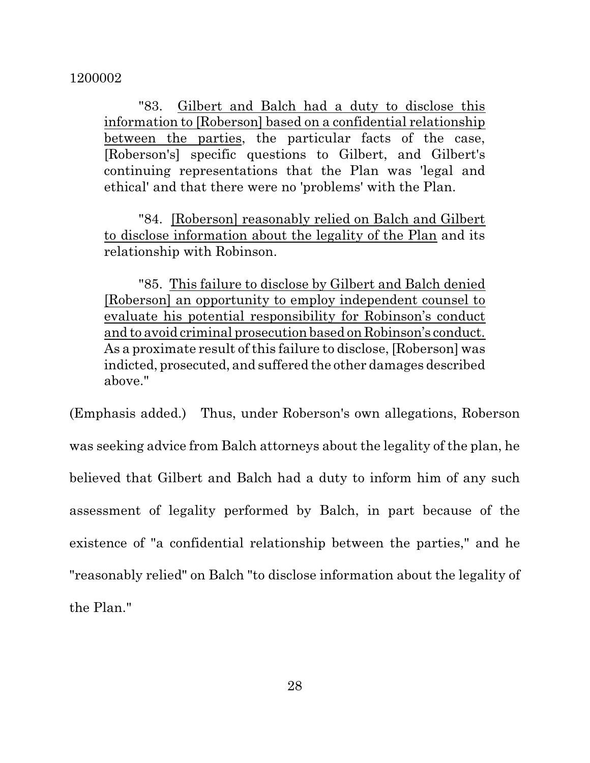"83. Gilbert and Balch had a duty to disclose this information to [Roberson] based on a confidential relationship between the parties, the particular facts of the case, [Roberson's] specific questions to Gilbert, and Gilbert's continuing representations that the Plan was 'legal and ethical' and that there were no 'problems' with the Plan.

"84. [Roberson] reasonably relied on Balch and Gilbert to disclose information about the legality of the Plan and its relationship with Robinson.

"85. This failure to disclose by Gilbert and Balch denied [Roberson] an opportunity to employ independent counsel to evaluate his potential responsibility for Robinson's conduct and to avoid criminal prosecution based on Robinson's conduct. As a proximate result of this failure to disclose, [Roberson] was indicted, prosecuted, and suffered the other damages described above."

(Emphasis added.) Thus, under Roberson's own allegations, Roberson was seeking advice from Balch attorneys about the legality of the plan, he believed that Gilbert and Balch had a duty to inform him of any such assessment of legality performed by Balch, in part because of the existence of "a confidential relationship between the parties," and he "reasonably relied" on Balch "to disclose information about the legality of the Plan."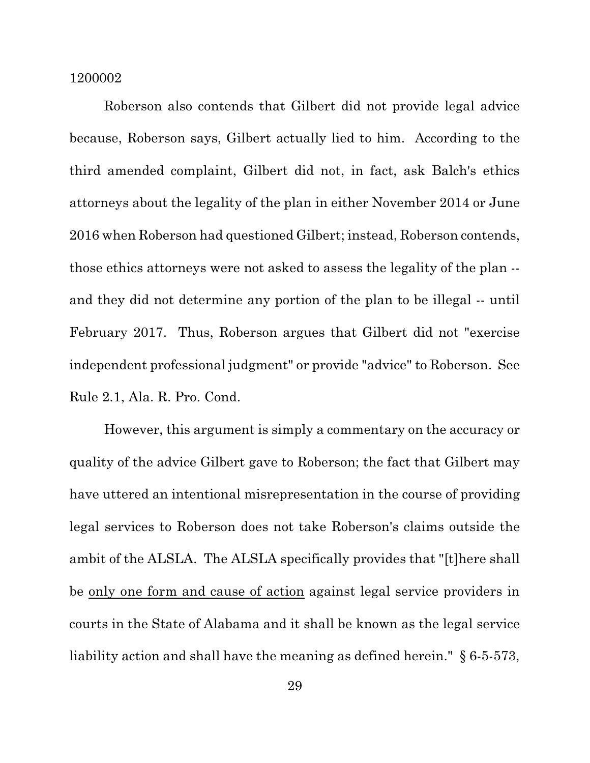Roberson also contends that Gilbert did not provide legal advice because, Roberson says, Gilbert actually lied to him. According to the third amended complaint, Gilbert did not, in fact, ask Balch's ethics attorneys about the legality of the plan in either November 2014 or June 2016 when Roberson had questioned Gilbert; instead, Roberson contends, those ethics attorneys were not asked to assess the legality of the plan - and they did not determine any portion of the plan to be illegal -- until February 2017. Thus, Roberson argues that Gilbert did not "exercise independent professional judgment" or provide "advice" to Roberson. See Rule 2.1, Ala. R. Pro. Cond.

However, this argument is simply a commentary on the accuracy or quality of the advice Gilbert gave to Roberson; the fact that Gilbert may have uttered an intentional misrepresentation in the course of providing legal services to Roberson does not take Roberson's claims outside the ambit of the ALSLA. The ALSLA specifically provides that "[t]here shall be only one form and cause of action against legal service providers in courts in the State of Alabama and it shall be known as the legal service liability action and shall have the meaning as defined herein." § 6-5-573,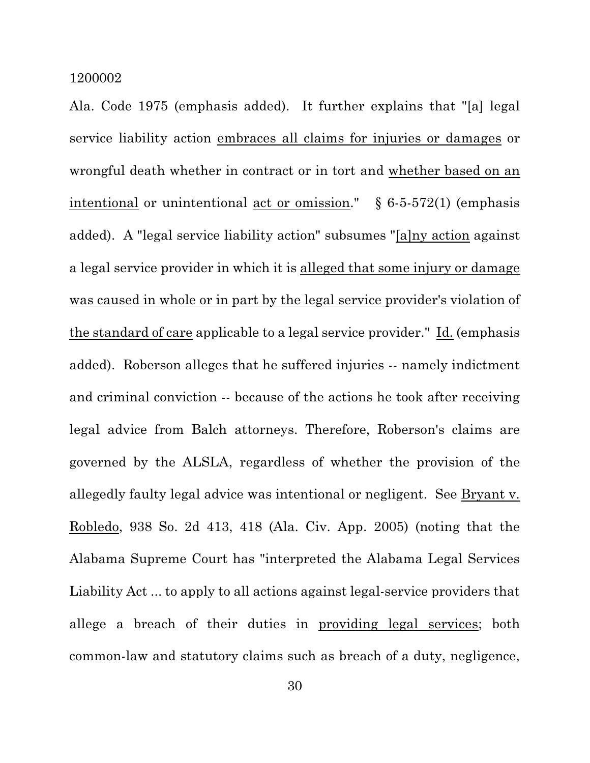Ala. Code 1975 (emphasis added). It further explains that "[a] legal service liability action embraces all claims for injuries or damages or wrongful death whether in contract or in tort and whether based on an intentional or unintentional <u>act or omission</u>."  $§ 6-5-572(1)$  (emphasis added). A "legal service liability action" subsumes "[a]ny action against a legal service provider in which it is alleged that some injury or damage was caused in whole or in part by the legal service provider's violation of the standard of care applicable to a legal service provider." Id. (emphasis added). Roberson alleges that he suffered injuries -- namely indictment and criminal conviction -- because of the actions he took after receiving legal advice from Balch attorneys. Therefore, Roberson's claims are governed by the ALSLA, regardless of whether the provision of the allegedly faulty legal advice was intentional or negligent. See Bryant v. Robledo, 938 So. 2d 413, 418 (Ala. Civ. App. 2005) (noting that the Alabama Supreme Court has "interpreted the Alabama Legal Services Liability Act ... to apply to all actions against legal-service providers that allege a breach of their duties in providing legal services; both common-law and statutory claims such as breach of a duty, negligence,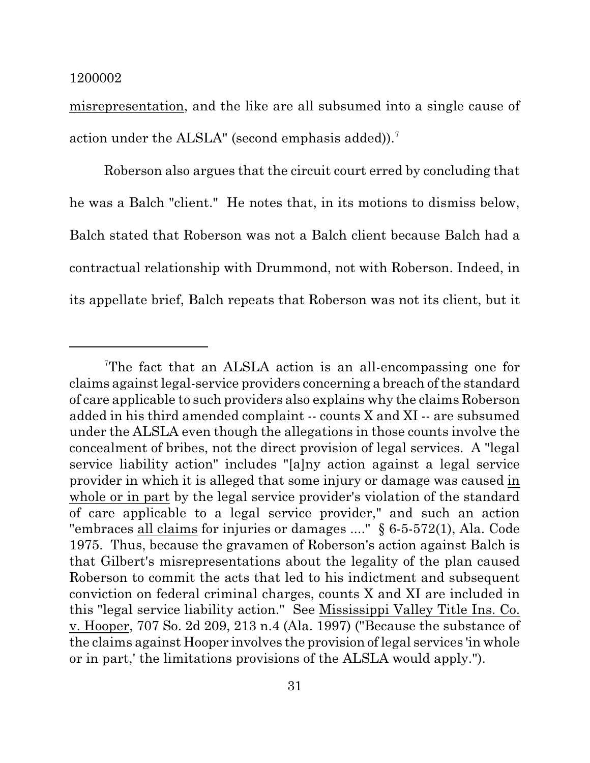misrepresentation, and the like are all subsumed into a single cause of action under the ALSLA" (second emphasis added)).<sup>7</sup>

Roberson also argues that the circuit court erred by concluding that he was a Balch "client." He notes that, in its motions to dismiss below, Balch stated that Roberson was not a Balch client because Balch had a contractual relationship with Drummond, not with Roberson. Indeed, in its appellate brief, Balch repeats that Roberson was not its client, but it

<sup>7</sup>The fact that an ALSLA action is an all-encompassing one for claims againstlegal-service providers concerning a breach of the standard of care applicable to such providers also explains why the claims Roberson added in his third amended complaint -- counts X and XI -- are subsumed under the ALSLA even though the allegations in those counts involve the concealment of bribes, not the direct provision of legal services. A "legal service liability action" includes "[a]ny action against a legal service provider in which it is alleged that some injury or damage was caused in whole or in part by the legal service provider's violation of the standard of care applicable to a legal service provider," and such an action "embraces all claims for injuries or damages ...." § 6-5-572(1), Ala. Code 1975. Thus, because the gravamen of Roberson's action against Balch is that Gilbert's misrepresentations about the legality of the plan caused Roberson to commit the acts that led to his indictment and subsequent conviction on federal criminal charges, counts X and XI are included in this "legal service liability action." See Mississippi Valley Title Ins. Co. v. Hooper, 707 So. 2d 209, 213 n.4 (Ala. 1997) ("Because the substance of the claims against Hooper involves the provision of legal services 'in whole or in part,' the limitations provisions of the ALSLA would apply.").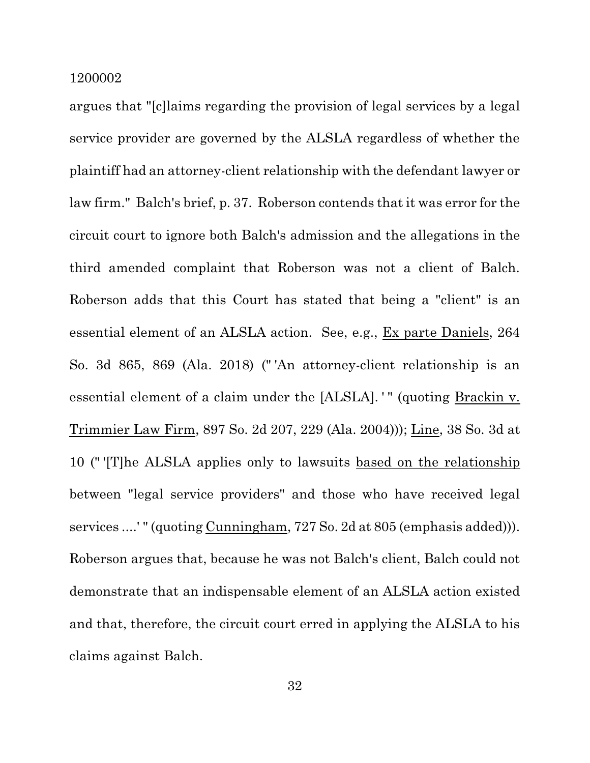argues that "[c]laims regarding the provision of legal services by a legal service provider are governed by the ALSLA regardless of whether the plaintiff had an attorney-client relationship with the defendant lawyer or law firm." Balch's brief, p. 37. Roberson contends that it was error for the circuit court to ignore both Balch's admission and the allegations in the third amended complaint that Roberson was not a client of Balch. Roberson adds that this Court has stated that being a "client" is an essential element of an ALSLA action. See, e.g., Ex parte Daniels, 264 So. 3d 865, 869 (Ala. 2018) (" 'An attorney-client relationship is an essential element of a claim under the [ALSLA]. " (quoting Brackin v. Trimmier Law Firm, 897 So. 2d 207, 229 (Ala. 2004))); Line, 38 So. 3d at 10 (" '[T]he ALSLA applies only to lawsuits based on the relationship between "legal service providers" and those who have received legal services ....' " (quoting Cunningham, 727 So. 2d at 805 (emphasis added))). Roberson argues that, because he was not Balch's client, Balch could not demonstrate that an indispensable element of an ALSLA action existed and that, therefore, the circuit court erred in applying the ALSLA to his claims against Balch.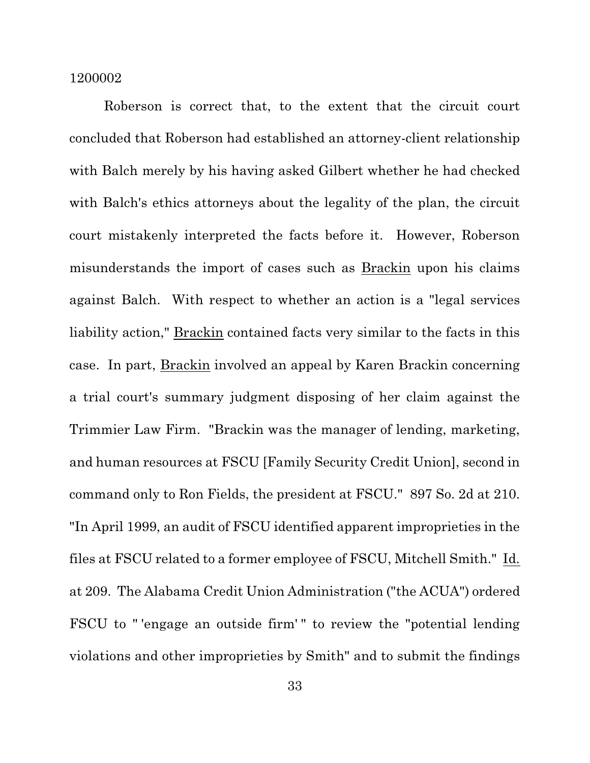Roberson is correct that, to the extent that the circuit court concluded that Roberson had established an attorney-client relationship with Balch merely by his having asked Gilbert whether he had checked with Balch's ethics attorneys about the legality of the plan, the circuit court mistakenly interpreted the facts before it. However, Roberson misunderstands the import of cases such as Brackin upon his claims against Balch. With respect to whether an action is a "legal services liability action," Brackin contained facts very similar to the facts in this case. In part, Brackin involved an appeal by Karen Brackin concerning a trial court's summary judgment disposing of her claim against the Trimmier Law Firm. "Brackin was the manager of lending, marketing, and human resources at FSCU [Family Security Credit Union], second in command only to Ron Fields, the president at FSCU." 897 So. 2d at 210. "In April 1999, an audit of FSCU identified apparent improprieties in the files at FSCU related to a former employee of FSCU, Mitchell Smith." Id. at 209. The Alabama Credit Union Administration ("the ACUA") ordered FSCU to " 'engage an outside firm' " to review the "potential lending violations and other improprieties by Smith" and to submit the findings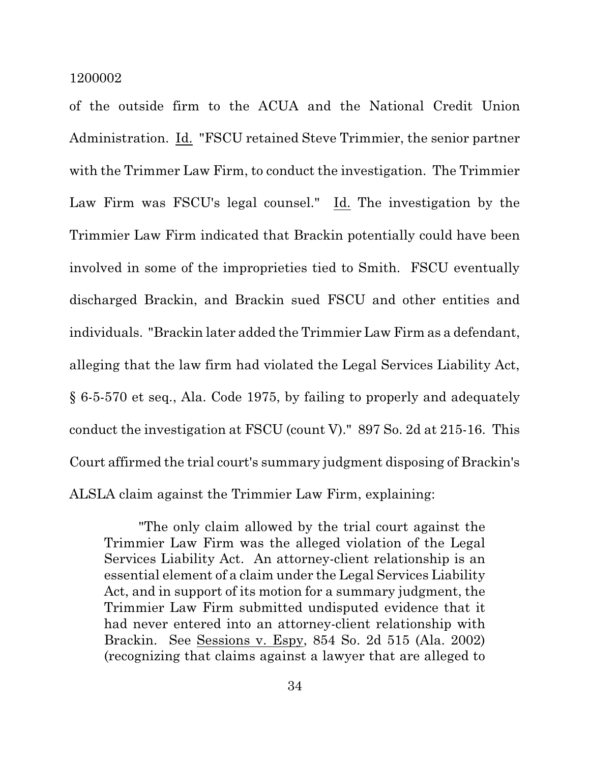of the outside firm to the ACUA and the National Credit Union Administration. Id. "FSCU retained Steve Trimmier, the senior partner with the Trimmer Law Firm, to conduct the investigation. The Trimmier Law Firm was FSCU's legal counsel." Id. The investigation by the Trimmier Law Firm indicated that Brackin potentially could have been involved in some of the improprieties tied to Smith. FSCU eventually discharged Brackin, and Brackin sued FSCU and other entities and individuals. "Brackin later added the Trimmier Law Firm as a defendant, alleging that the law firm had violated the Legal Services Liability Act, § 6-5-570 et seq., Ala. Code 1975, by failing to properly and adequately conduct the investigation at FSCU (count V)." 897 So. 2d at 215-16. This Court affirmed the trial court's summary judgment disposing of Brackin's ALSLA claim against the Trimmier Law Firm, explaining:

"The only claim allowed by the trial court against the Trimmier Law Firm was the alleged violation of the Legal Services Liability Act. An attorney-client relationship is an essential element of a claim under the Legal Services Liability Act, and in support of its motion for a summary judgment, the Trimmier Law Firm submitted undisputed evidence that it had never entered into an attorney-client relationship with Brackin. See Sessions v. Espy, 854 So. 2d 515 (Ala. 2002) (recognizing that claims against a lawyer that are alleged to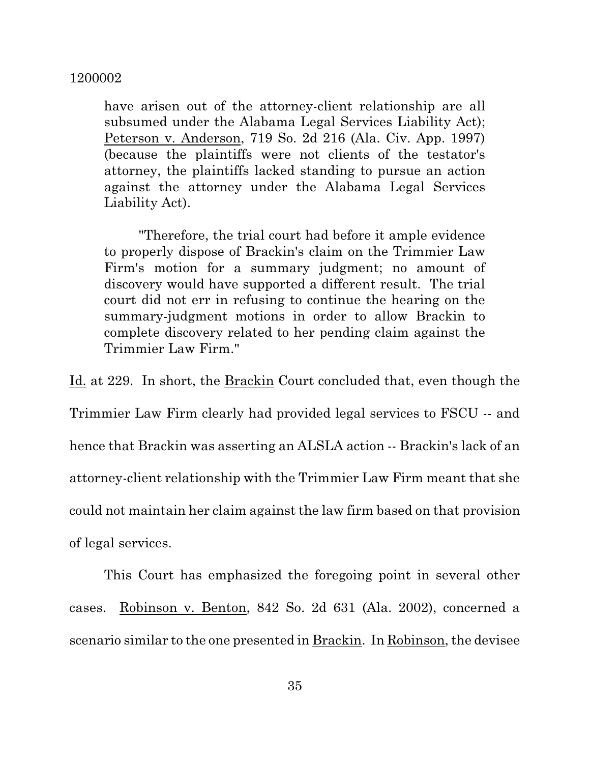have arisen out of the attorney-client relationship are all subsumed under the Alabama Legal Services Liability Act); Peterson v. Anderson, 719 So. 2d 216 (Ala. Civ. App. 1997) (because the plaintiffs were not clients of the testator's attorney, the plaintiffs lacked standing to pursue an action against the attorney under the Alabama Legal Services Liability Act).

"Therefore, the trial court had before it ample evidence to properly dispose of Brackin's claim on the Trimmier Law Firm's motion for a summary judgment; no amount of discovery would have supported a different result. The trial court did not err in refusing to continue the hearing on the summary-judgment motions in order to allow Brackin to complete discovery related to her pending claim against the Trimmier Law Firm."

Id. at 229. In short, the Brackin Court concluded that, even though the Trimmier Law Firm clearly had provided legal services to FSCU -- and hence that Brackin was asserting an ALSLA action -- Brackin's lack of an attorney-client relationship with the Trimmier Law Firm meant that she could not maintain her claim against the law firm based on that provision of legal services.

This Court has emphasized the foregoing point in several other cases. Robinson v. Benton, 842 So. 2d 631 (Ala. 2002), concerned a scenario similar to the one presented in Brackin. In Robinson, the devisee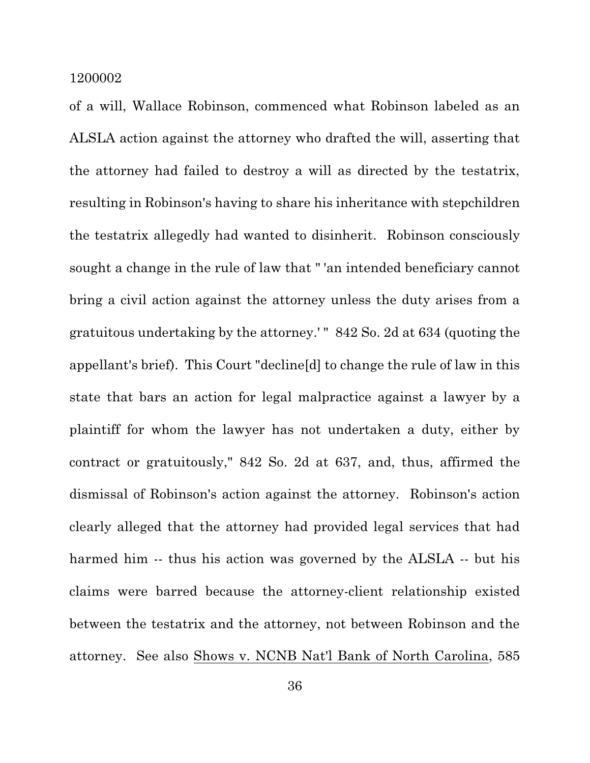of a will, Wallace Robinson, commenced what Robinson labeled as an ALSLA action against the attorney who drafted the will, asserting that the attorney had failed to destroy a will as directed by the testatrix, resulting in Robinson's having to share his inheritance with stepchildren the testatrix allegedly had wanted to disinherit. Robinson consciously sought a change in the rule of law that " 'an intended beneficiary cannot bring a civil action against the attorney unless the duty arises from a gratuitous undertaking by the attorney.' " 842 So. 2d at 634 (quoting the appellant's brief). This Court "decline[d] to change the rule of law in this state that bars an action for legal malpractice against a lawyer by a plaintiff for whom the lawyer has not undertaken a duty, either by contract or gratuitously," 842 So. 2d at 637, and, thus, affirmed the dismissal of Robinson's action against the attorney. Robinson's action clearly alleged that the attorney had provided legal services that had harmed him -- thus his action was governed by the ALSLA -- but his claims were barred because the attorney-client relationship existed between the testatrix and the attorney, not between Robinson and the attorney. See also Shows v. NCNB Nat'l Bank of North Carolina, 585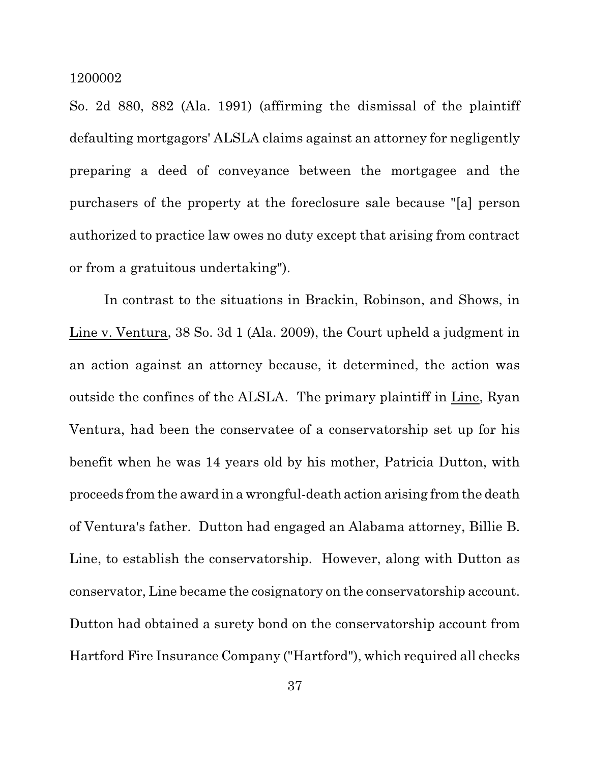So. 2d 880, 882 (Ala. 1991) (affirming the dismissal of the plaintiff defaulting mortgagors' ALSLA claims against an attorney for negligently preparing a deed of conveyance between the mortgagee and the purchasers of the property at the foreclosure sale because "[a] person authorized to practice law owes no duty except that arising from contract or from a gratuitous undertaking").

In contrast to the situations in Brackin, Robinson, and Shows, in Line v. Ventura, 38 So. 3d 1 (Ala. 2009), the Court upheld a judgment in an action against an attorney because, it determined, the action was outside the confines of the ALSLA. The primary plaintiff in Line, Ryan Ventura, had been the conservatee of a conservatorship set up for his benefit when he was 14 years old by his mother, Patricia Dutton, with proceeds from the award in a wrongful-death action arising from the death of Ventura's father. Dutton had engaged an Alabama attorney, Billie B. Line, to establish the conservatorship. However, along with Dutton as conservator, Line became the cosignatory on the conservatorship account. Dutton had obtained a surety bond on the conservatorship account from Hartford Fire Insurance Company ("Hartford"), which required all checks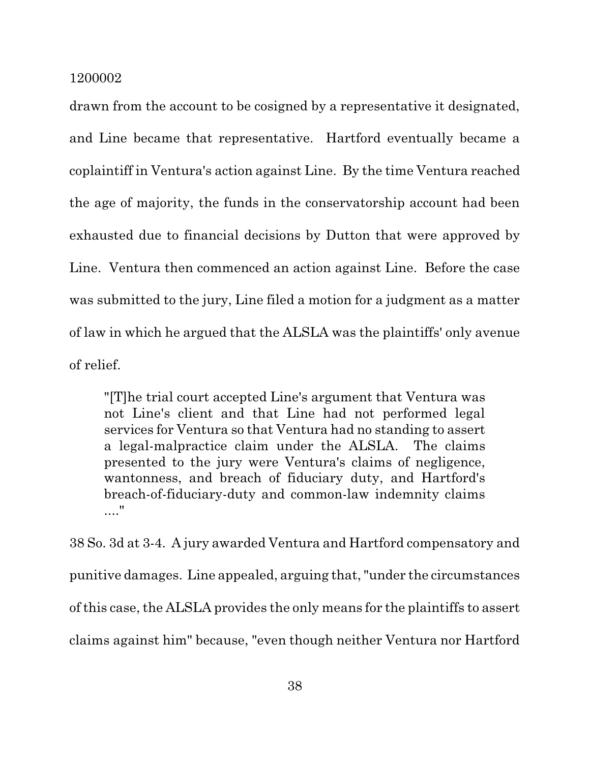drawn from the account to be cosigned by a representative it designated, and Line became that representative. Hartford eventually became a coplaintiff in Ventura's action against Line. By the time Ventura reached the age of majority, the funds in the conservatorship account had been exhausted due to financial decisions by Dutton that were approved by Line. Ventura then commenced an action against Line. Before the case was submitted to the jury, Line filed a motion for a judgment as a matter of law in which he argued that the ALSLA was the plaintiffs' only avenue of relief.

"[T]he trial court accepted Line's argument that Ventura was not Line's client and that Line had not performed legal services for Ventura so that Ventura had no standing to assert a legal-malpractice claim under the ALSLA. The claims presented to the jury were Ventura's claims of negligence, wantonness, and breach of fiduciary duty, and Hartford's breach-of-fiduciary-duty and common-law indemnity claims ...."

38 So. 3d at 3-4. A jury awarded Ventura and Hartford compensatory and punitive damages. Line appealed, arguing that,"under the circumstances of this case, the ALSLA provides the only means for the plaintiffs to assert claims against him" because, "even though neither Ventura nor Hartford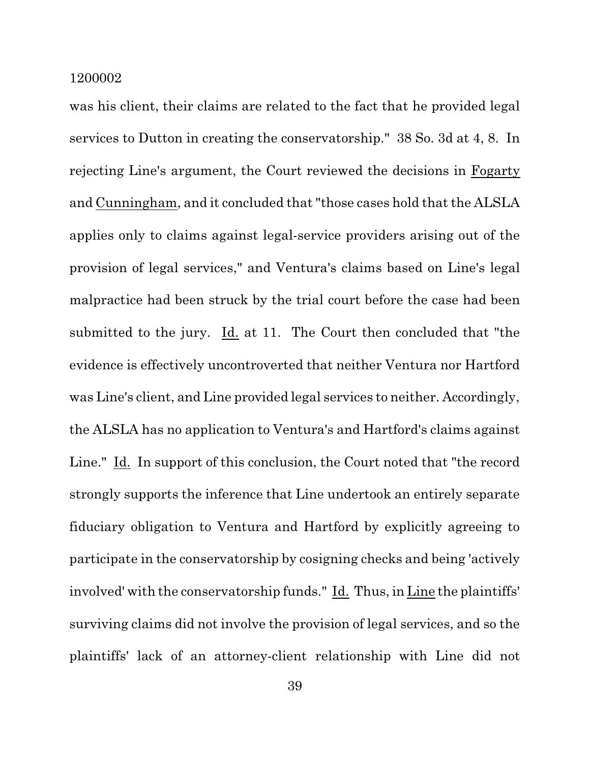was his client, their claims are related to the fact that he provided legal services to Dutton in creating the conservatorship." 38 So. 3d at 4, 8. In rejecting Line's argument, the Court reviewed the decisions in Fogarty and Cunningham, and it concluded that "those cases hold that the ALSLA applies only to claims against legal-service providers arising out of the provision of legal services," and Ventura's claims based on Line's legal malpractice had been struck by the trial court before the case had been submitted to the jury. Id. at 11. The Court then concluded that "the evidence is effectively uncontroverted that neither Ventura nor Hartford was Line's client, and Line provided legal services to neither. Accordingly, the ALSLA has no application to Ventura's and Hartford's claims against Line." Id. In support of this conclusion, the Court noted that "the record strongly supports the inference that Line undertook an entirely separate fiduciary obligation to Ventura and Hartford by explicitly agreeing to participate in the conservatorship by cosigning checks and being 'actively involved' with the conservatorship funds." Id. Thus, in Line the plaintiffs' surviving claims did not involve the provision of legal services, and so the plaintiffs' lack of an attorney-client relationship with Line did not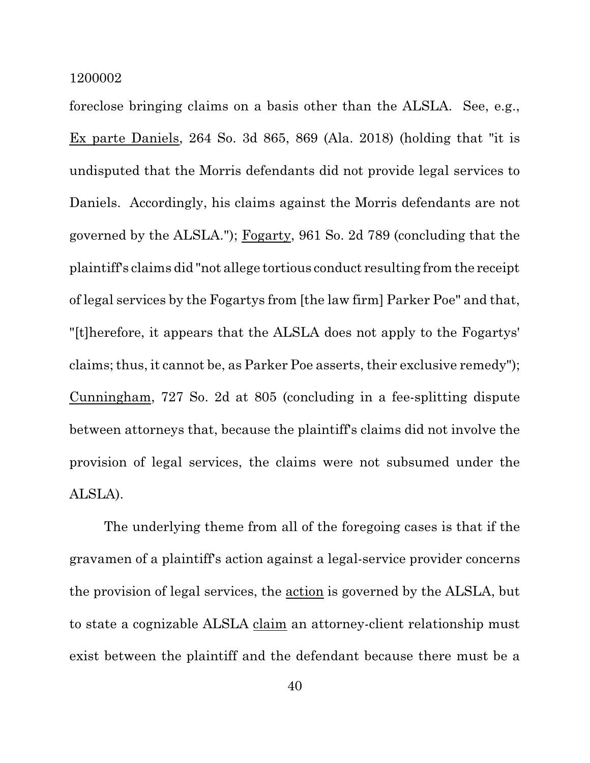foreclose bringing claims on a basis other than the ALSLA. See, e.g., Ex parte Daniels, 264 So. 3d 865, 869 (Ala. 2018) (holding that "it is undisputed that the Morris defendants did not provide legal services to Daniels. Accordingly, his claims against the Morris defendants are not governed by the ALSLA."); Fogarty, 961 So. 2d 789 (concluding that the plaintiff's claims did "not allege tortious conduct resulting from the receipt of legal services by the Fogartys from [the law firm] Parker Poe" and that, "[t]herefore, it appears that the ALSLA does not apply to the Fogartys' claims; thus, it cannot be, as Parker Poe asserts, their exclusive remedy"); Cunningham, 727 So. 2d at 805 (concluding in a fee-splitting dispute between attorneys that, because the plaintiff's claims did not involve the provision of legal services, the claims were not subsumed under the ALSLA).

The underlying theme from all of the foregoing cases is that if the gravamen of a plaintiff's action against a legal-service provider concerns the provision of legal services, the action is governed by the ALSLA, but to state a cognizable ALSLA claim an attorney-client relationship must exist between the plaintiff and the defendant because there must be a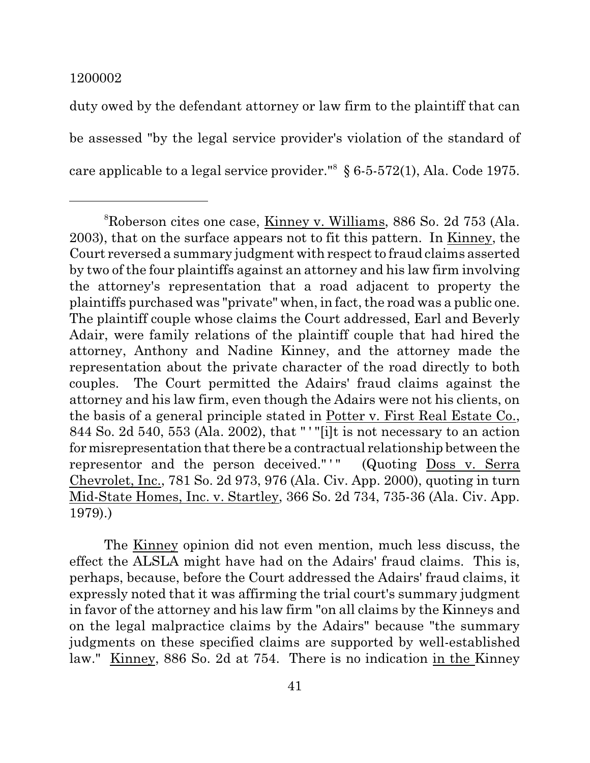duty owed by the defendant attorney or law firm to the plaintiff that can be assessed "by the legal service provider's violation of the standard of care applicable to a legal service provider." 8 § 6-5-572(1), Ala. Code 1975.

The Kinney opinion did not even mention, much less discuss, the effect the ALSLA might have had on the Adairs' fraud claims. This is, perhaps, because, before the Court addressed the Adairs' fraud claims, it expressly noted that it was affirming the trial court's summary judgment in favor of the attorney and his law firm "on all claims by the Kinneys and on the legal malpractice claims by the Adairs" because "the summary judgments on these specified claims are supported by well-established law." Kinney, 886 So. 2d at 754. There is no indication in the Kinney

<sup>8</sup>Roberson cites one case, Kinney v. Williams, 886 So. 2d 753 (Ala. 2003), that on the surface appears not to fit this pattern. In Kinney, the Court reversed a summary judgment with respect to fraud claims asserted by two of the four plaintiffs against an attorney and his law firm involving the attorney's representation that a road adjacent to property the plaintiffs purchased was "private" when, in fact, the road was a public one. The plaintiff couple whose claims the Court addressed, Earl and Beverly Adair, were family relations of the plaintiff couple that had hired the attorney, Anthony and Nadine Kinney, and the attorney made the representation about the private character of the road directly to both couples. The Court permitted the Adairs' fraud claims against the attorney and his law firm, even though the Adairs were not his clients, on the basis of a general principle stated in Potter v. First Real Estate Co., 844 So. 2d 540, 553 (Ala. 2002), that " ' "[i]t is not necessary to an action for misrepresentation that there be a contractual relationship between the representor and the person deceived."'" (Quoting Doss v. Serra Chevrolet, Inc., 781 So. 2d 973, 976 (Ala. Civ. App. 2000), quoting in turn Mid-State Homes, Inc. v. Startley, 366 So. 2d 734, 735-36 (Ala. Civ. App. 1979).)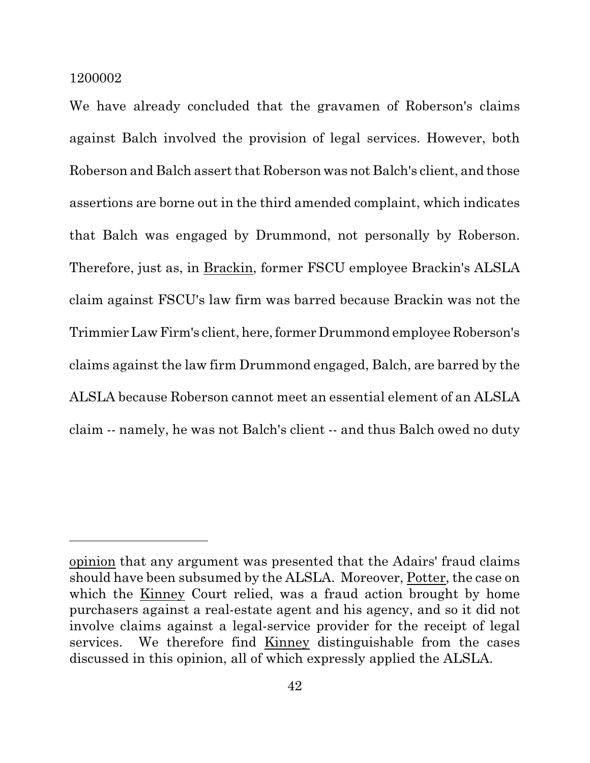We have already concluded that the gravamen of Roberson's claims against Balch involved the provision of legal services. However, both Roberson and Balch assert that Roberson was not Balch's client, and those assertions are borne out in the third amended complaint, which indicates that Balch was engaged by Drummond, not personally by Roberson. Therefore, just as, in Brackin, former FSCU employee Brackin's ALSLA claim against FSCU's law firm was barred because Brackin was not the TrimmierLawFirm's client, here, former Drummond employee Roberson's claims against the law firm Drummond engaged, Balch, are barred by the ALSLA because Roberson cannot meet an essential element of an ALSLA claim -- namely, he was not Balch's client -- and thus Balch owed no duty

opinion that any argument was presented that the Adairs' fraud claims should have been subsumed by the ALSLA. Moreover, Potter, the case on which the Kinney Court relied, was a fraud action brought by home purchasers against a real-estate agent and his agency, and so it did not involve claims against a legal-service provider for the receipt of legal services. We therefore find Kinney distinguishable from the cases discussed in this opinion, all of which expressly applied the ALSLA.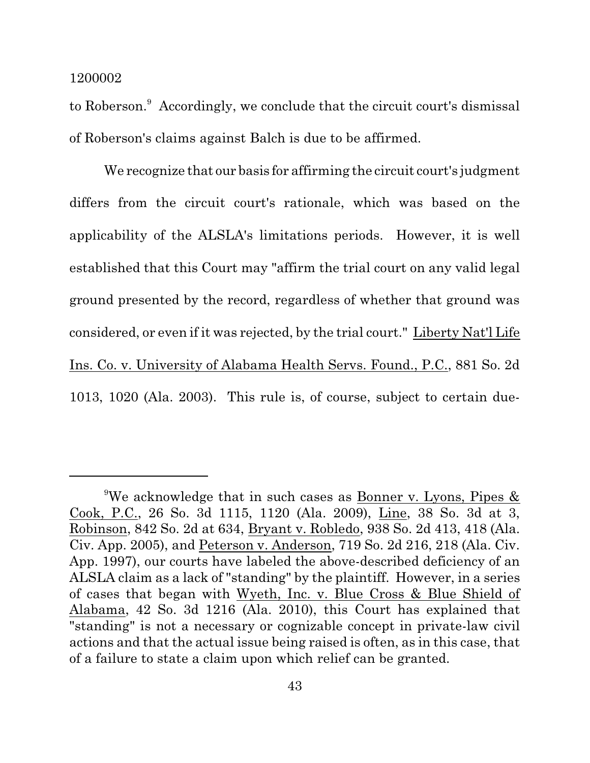to Roberson.<sup>9</sup> Accordingly, we conclude that the circuit court's dismissal of Roberson's claims against Balch is due to be affirmed.

We recognize that our basis for affirming the circuit court's judgment differs from the circuit court's rationale, which was based on the applicability of the ALSLA's limitations periods. However, it is well established that this Court may "affirm the trial court on any valid legal ground presented by the record, regardless of whether that ground was considered, or even if it was rejected, by the trial court." Liberty Nat'l Life Ins. Co. v. University of Alabama Health Servs. Found., P.C., 881 So. 2d 1013, 1020 (Ala. 2003). This rule is, of course, subject to certain due-

<sup>&</sup>lt;sup>9</sup>We acknowledge that in such cases as Bonner v. Lyons, Pipes  $\&$ Cook, P.C., 26 So. 3d 1115, 1120 (Ala. 2009), Line, 38 So. 3d at 3, Robinson, 842 So. 2d at 634, Bryant v. Robledo, 938 So. 2d 413, 418 (Ala. Civ. App. 2005), and Peterson v. Anderson, 719 So. 2d 216, 218 (Ala. Civ. App. 1997), our courts have labeled the above-described deficiency of an ALSLA claim as a lack of "standing" by the plaintiff. However, in a series of cases that began with Wyeth, Inc. v. Blue Cross & Blue Shield of Alabama, 42 So. 3d 1216 (Ala. 2010), this Court has explained that "standing" is not a necessary or cognizable concept in private-law civil actions and that the actual issue being raised is often, as in this case, that of a failure to state a claim upon which relief can be granted.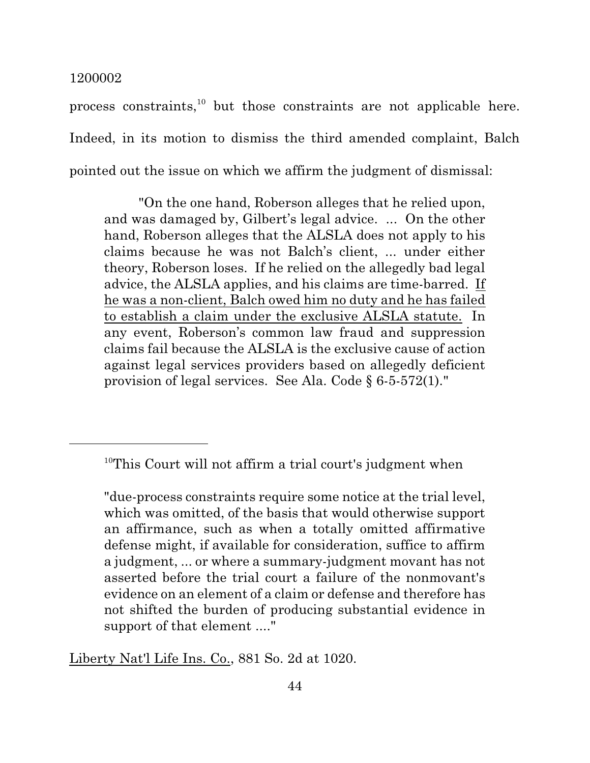process constraints,<sup>10</sup> but those constraints are not applicable here. Indeed, in its motion to dismiss the third amended complaint, Balch pointed out the issue on which we affirm the judgment of dismissal:

"On the one hand, Roberson alleges that he relied upon, and was damaged by, Gilbert's legal advice. ... On the other hand, Roberson alleges that the ALSLA does not apply to his claims because he was not Balch's client, ... under either theory, Roberson loses. If he relied on the allegedly bad legal advice, the ALSLA applies, and his claims are time-barred. If he was a non-client, Balch owed him no duty and he has failed to establish a claim under the exclusive ALSLA statute. In any event, Roberson's common law fraud and suppression claims fail because the ALSLA is the exclusive cause of action against legal services providers based on allegedly deficient provision of legal services. See Ala. Code § 6-5-572(1)."

Liberty Nat'l Life Ins. Co., 881 So. 2d at 1020.

<sup>&</sup>lt;sup>10</sup>This Court will not affirm a trial court's judgment when

<sup>&</sup>quot;due-process constraints require some notice at the trial level, which was omitted, of the basis that would otherwise support an affirmance, such as when a totally omitted affirmative defense might, if available for consideration, suffice to affirm a judgment, ... or where a summary-judgment movant has not asserted before the trial court a failure of the nonmovant's evidence on an element of a claim or defense and therefore has not shifted the burden of producing substantial evidence in support of that element ...."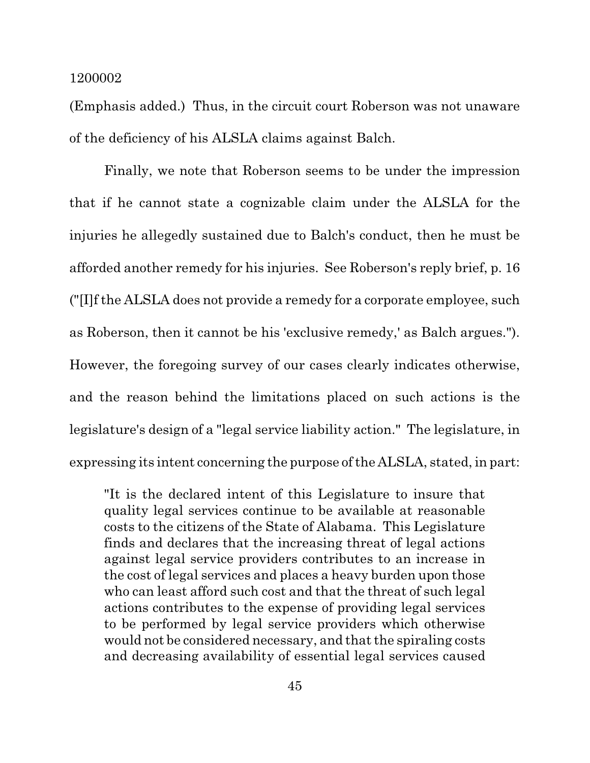(Emphasis added.) Thus, in the circuit court Roberson was not unaware of the deficiency of his ALSLA claims against Balch.

Finally, we note that Roberson seems to be under the impression that if he cannot state a cognizable claim under the ALSLA for the injuries he allegedly sustained due to Balch's conduct, then he must be afforded another remedy for his injuries. See Roberson's reply brief, p. 16 ("[I]f the ALSLA does not provide a remedy for a corporate employee, such as Roberson, then it cannot be his 'exclusive remedy,' as Balch argues."). However, the foregoing survey of our cases clearly indicates otherwise, and the reason behind the limitations placed on such actions is the legislature's design of a "legal service liability action." The legislature, in expressing its intent concerning the purpose of the ALSLA, stated, in part:

"It is the declared intent of this Legislature to insure that quality legal services continue to be available at reasonable costs to the citizens of the State of Alabama. This Legislature finds and declares that the increasing threat of legal actions against legal service providers contributes to an increase in the cost of legal services and places a heavy burden upon those who can least afford such cost and that the threat of such legal actions contributes to the expense of providing legal services to be performed by legal service providers which otherwise would not be considered necessary, and that the spiraling costs and decreasing availability of essential legal services caused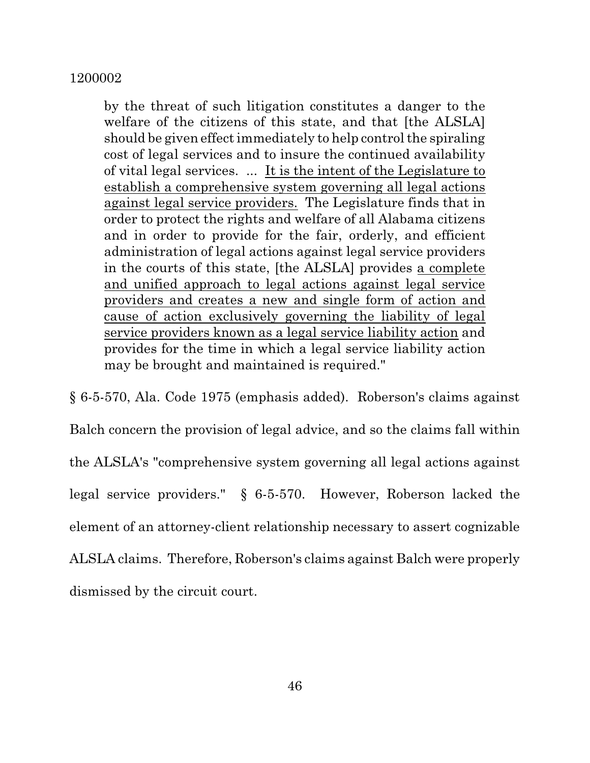by the threat of such litigation constitutes a danger to the welfare of the citizens of this state, and that [the ALSLA] should be given effectimmediately to help control the spiraling cost of legal services and to insure the continued availability of vital legal services. ... It is the intent of the Legislature to establish a comprehensive system governing all legal actions against legal service providers. The Legislature finds that in order to protect the rights and welfare of all Alabama citizens and in order to provide for the fair, orderly, and efficient administration of legal actions against legal service providers in the courts of this state, [the ALSLA] provides a complete and unified approach to legal actions against legal service providers and creates a new and single form of action and cause of action exclusively governing the liability of legal service providers known as a legal service liability action and provides for the time in which a legal service liability action may be brought and maintained is required."

§ 6-5-570, Ala. Code 1975 (emphasis added). Roberson's claims against Balch concern the provision of legal advice, and so the claims fall within the ALSLA's "comprehensive system governing all legal actions against legal service providers." § 6-5-570. However, Roberson lacked the element of an attorney-client relationship necessary to assert cognizable ALSLA claims. Therefore, Roberson's claims against Balch were properly dismissed by the circuit court.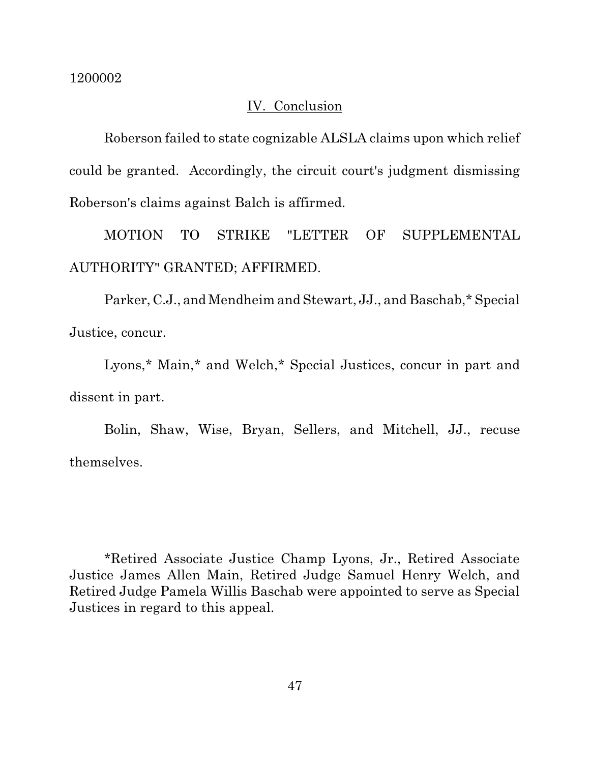## IV. Conclusion

Roberson failed to state cognizable ALSLA claims upon which relief could be granted. Accordingly, the circuit court's judgment dismissing Roberson's claims against Balch is affirmed.

MOTION TO STRIKE "LETTER OF SUPPLEMENTAL AUTHORITY" GRANTED; AFFIRMED.

Parker, C.J., and Mendheim and Stewart, JJ., and Baschab,\* Special Justice, concur.

Lyons,\* Main,\* and Welch,\* Special Justices, concur in part and dissent in part.

Bolin, Shaw, Wise, Bryan, Sellers, and Mitchell, JJ., recuse themselves.

\*Retired Associate Justice Champ Lyons, Jr., Retired Associate Justice James Allen Main, Retired Judge Samuel Henry Welch, and Retired Judge Pamela Willis Baschab were appointed to serve as Special Justices in regard to this appeal.

47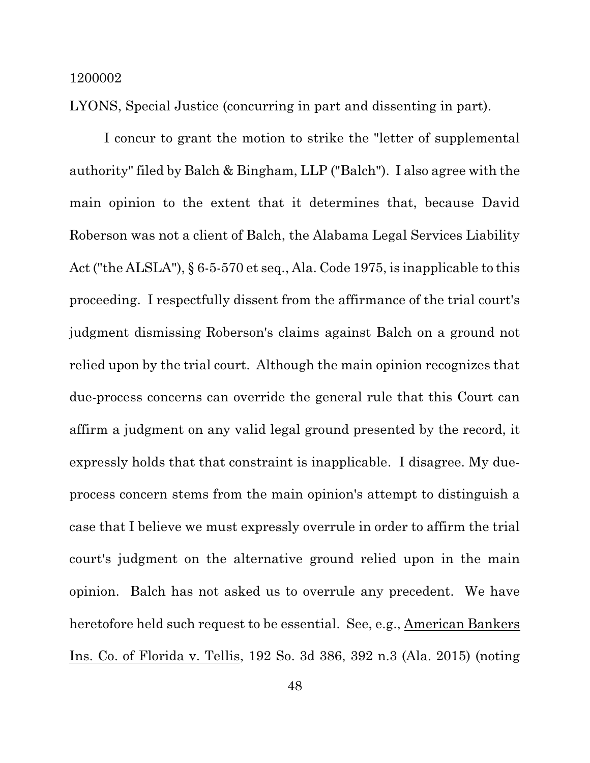LYONS, Special Justice (concurring in part and dissenting in part).

I concur to grant the motion to strike the "letter of supplemental authority" filed by Balch & Bingham, LLP ("Balch"). I also agree with the main opinion to the extent that it determines that, because David Roberson was not a client of Balch, the Alabama Legal Services Liability Act("the ALSLA"), § 6-5-570 et seq., Ala. Code 1975, is inapplicable to this proceeding. I respectfully dissent from the affirmance of the trial court's judgment dismissing Roberson's claims against Balch on a ground not relied upon by the trial court. Although the main opinion recognizes that due-process concerns can override the general rule that this Court can affirm a judgment on any valid legal ground presented by the record, it expressly holds that that constraint is inapplicable. I disagree. My dueprocess concern stems from the main opinion's attempt to distinguish a case that I believe we must expressly overrule in order to affirm the trial court's judgment on the alternative ground relied upon in the main opinion. Balch has not asked us to overrule any precedent. We have heretofore held such request to be essential. See, e.g., American Bankers Ins. Co. of Florida v. Tellis, 192 So. 3d 386, 392 n.3 (Ala. 2015) (noting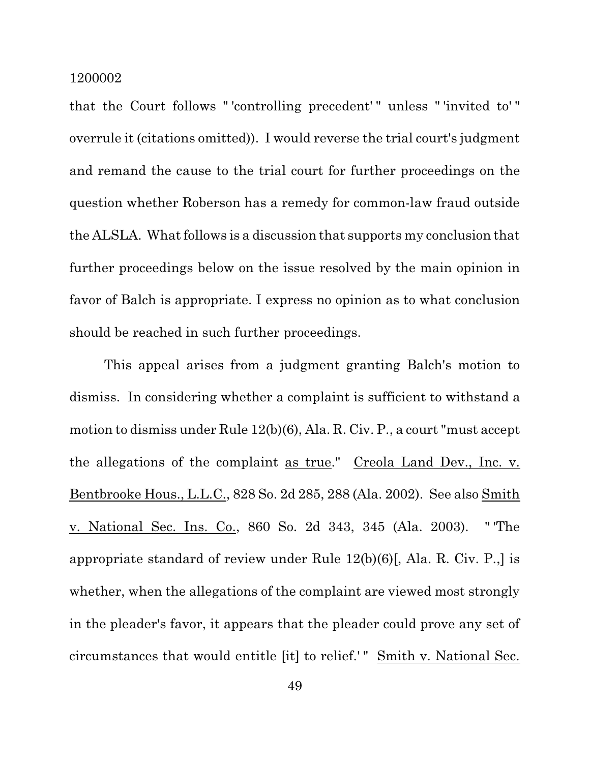that the Court follows " 'controlling precedent' " unless " 'invited to' " overrule it (citations omitted)). I would reverse the trial court's judgment and remand the cause to the trial court for further proceedings on the question whether Roberson has a remedy for common-law fraud outside the ALSLA. What follows is a discussion that supports my conclusion that further proceedings below on the issue resolved by the main opinion in favor of Balch is appropriate. I express no opinion as to what conclusion should be reached in such further proceedings.

This appeal arises from a judgment granting Balch's motion to dismiss. In considering whether a complaint is sufficient to withstand a motion to dismiss under Rule 12(b)(6), Ala. R. Civ. P., a court "must accept the allegations of the complaint as true." Creola Land Dev., Inc. v. Bentbrooke Hous., L.L.C., 828 So. 2d 285, 288 (Ala. 2002). See also Smith v. National Sec. Ins. Co., 860 So. 2d 343, 345 (Ala. 2003). " 'The appropriate standard of review under Rule 12(b)(6)[, Ala. R. Civ. P.,] is whether, when the allegations of the complaint are viewed most strongly in the pleader's favor, it appears that the pleader could prove any set of circumstances that would entitle [it] to relief.' " Smith v. National Sec.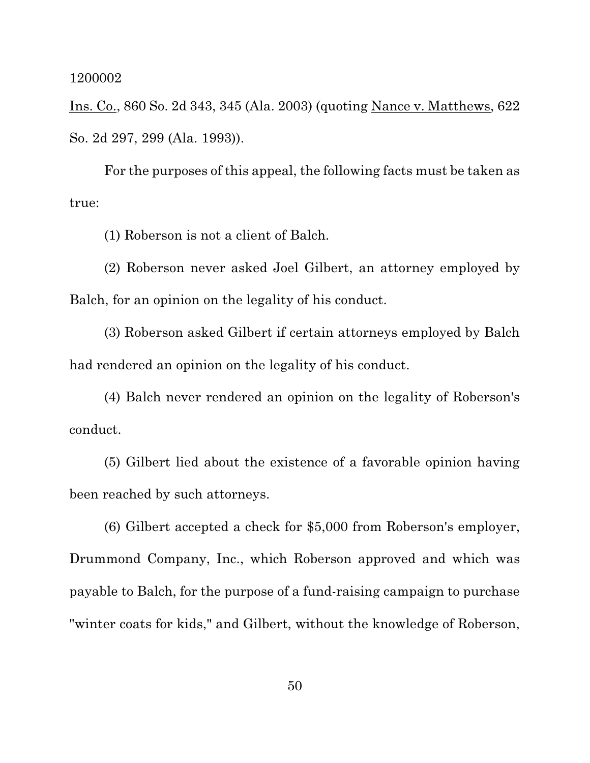Ins. Co., 860 So. 2d 343, 345 (Ala. 2003) (quoting Nance v. Matthews, 622 So. 2d 297, 299 (Ala. 1993)).

For the purposes of this appeal, the following facts must be taken as true:

(1) Roberson is not a client of Balch.

(2) Roberson never asked Joel Gilbert, an attorney employed by Balch, for an opinion on the legality of his conduct.

(3) Roberson asked Gilbert if certain attorneys employed by Balch had rendered an opinion on the legality of his conduct.

(4) Balch never rendered an opinion on the legality of Roberson's conduct.

(5) Gilbert lied about the existence of a favorable opinion having been reached by such attorneys.

(6) Gilbert accepted a check for \$5,000 from Roberson's employer, Drummond Company, Inc., which Roberson approved and which was payable to Balch, for the purpose of a fund-raising campaign to purchase "winter coats for kids," and Gilbert, without the knowledge of Roberson,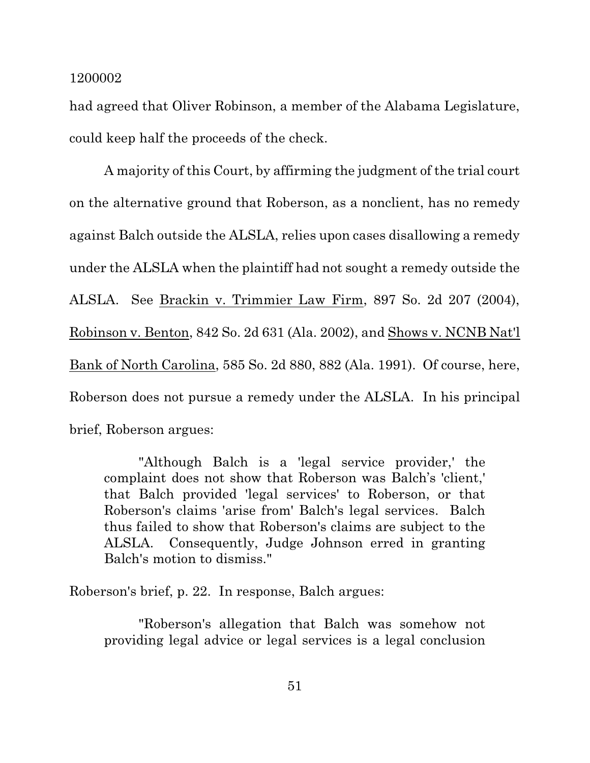had agreed that Oliver Robinson, a member of the Alabama Legislature, could keep half the proceeds of the check.

A majority of this Court, by affirming the judgment of the trial court on the alternative ground that Roberson, as a nonclient, has no remedy against Balch outside the ALSLA, relies upon cases disallowing a remedy under the ALSLA when the plaintiff had not sought a remedy outside the ALSLA. See Brackin v. Trimmier Law Firm, 897 So. 2d 207 (2004), Robinson v. Benton, 842 So. 2d 631 (Ala. 2002), and Shows v. NCNB Nat'l Bank of North Carolina, 585 So. 2d 880, 882 (Ala. 1991). Of course, here, Roberson does not pursue a remedy under the ALSLA. In his principal brief, Roberson argues:

"Although Balch is a 'legal service provider,' the complaint does not show that Roberson was Balch's 'client,' that Balch provided 'legal services' to Roberson, or that Roberson's claims 'arise from' Balch's legal services. Balch thus failed to show that Roberson's claims are subject to the ALSLA. Consequently, Judge Johnson erred in granting Balch's motion to dismiss."

Roberson's brief, p. 22. In response, Balch argues:

"Roberson's allegation that Balch was somehow not providing legal advice or legal services is a legal conclusion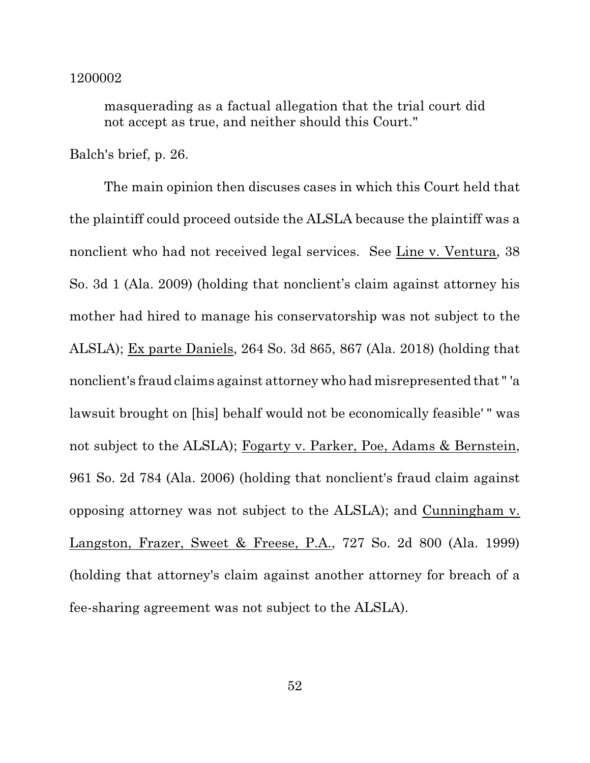masquerading as a factual allegation that the trial court did not accept as true, and neither should this Court."

Balch's brief, p. 26.

The main opinion then discuses cases in which this Court held that the plaintiff could proceed outside the ALSLA because the plaintiff was a nonclient who had not received legal services. See Line v. Ventura, 38 So. 3d 1 (Ala. 2009) (holding that nonclient's claim against attorney his mother had hired to manage his conservatorship was not subject to the ALSLA); Ex parte Daniels, 264 So. 3d 865, 867 (Ala. 2018) (holding that nonclient's fraud claims against attorney who had misrepresented that " 'a lawsuit brought on [his] behalf would not be economically feasible' " was not subject to the ALSLA); Fogarty v. Parker, Poe, Adams & Bernstein, 961 So. 2d 784 (Ala. 2006) (holding that nonclient's fraud claim against opposing attorney was not subject to the ALSLA); and Cunningham v. Langston, Frazer, Sweet & Freese, P.A., 727 So. 2d 800 (Ala. 1999) (holding that attorney's claim against another attorney for breach of a fee-sharing agreement was not subject to the ALSLA).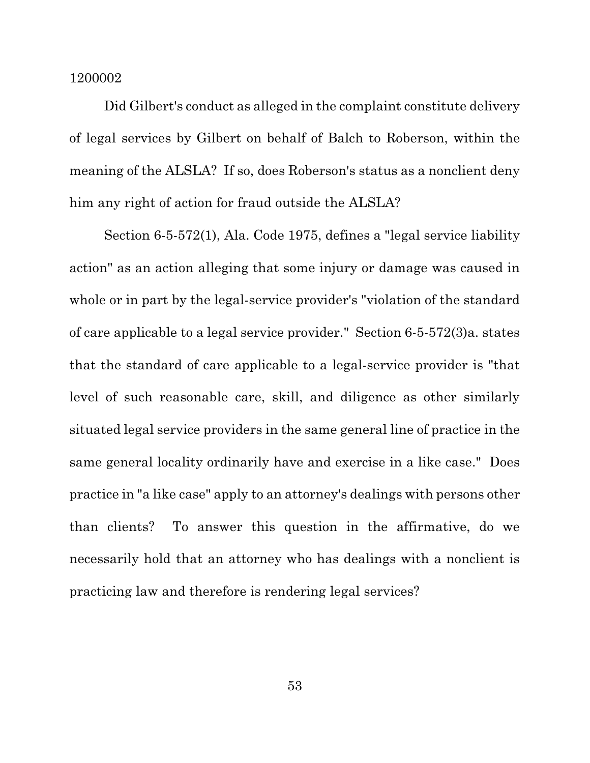Did Gilbert's conduct as alleged in the complaint constitute delivery of legal services by Gilbert on behalf of Balch to Roberson, within the meaning of the ALSLA? If so, does Roberson's status as a nonclient deny him any right of action for fraud outside the ALSLA?

Section 6-5-572(1), Ala. Code 1975, defines a "legal service liability action" as an action alleging that some injury or damage was caused in whole or in part by the legal-service provider's "violation of the standard of care applicable to a legal service provider." Section 6-5-572(3)a. states that the standard of care applicable to a legal-service provider is "that level of such reasonable care, skill, and diligence as other similarly situated legal service providers in the same general line of practice in the same general locality ordinarily have and exercise in a like case." Does practice in "a like case" apply to an attorney's dealings with persons other than clients? To answer this question in the affirmative, do we necessarily hold that an attorney who has dealings with a nonclient is practicing law and therefore is rendering legal services?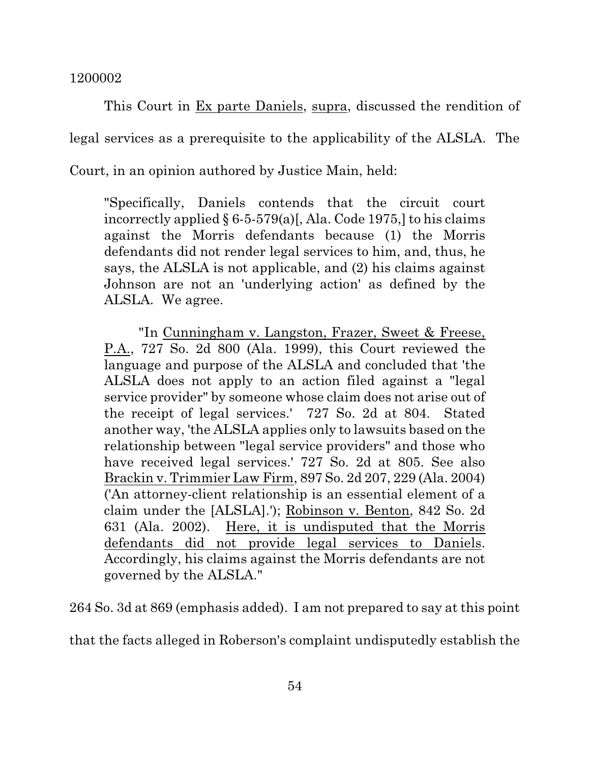This Court in Ex parte Daniels, supra, discussed the rendition of legal services as a prerequisite to the applicability of the ALSLA. The Court, in an opinion authored by Justice Main, held:

"Specifically, Daniels contends that the circuit court incorrectly applied § 6-5-579(a)[, Ala. Code 1975,] to his claims against the Morris defendants because (1) the Morris defendants did not render legal services to him, and, thus, he says, the ALSLA is not applicable, and (2) his claims against Johnson are not an 'underlying action' as defined by the ALSLA. We agree.

"In Cunningham v. Langston, Frazer, Sweet & Freese, P.A., 727 So. 2d 800 (Ala. 1999), this Court reviewed the language and purpose of the ALSLA and concluded that 'the ALSLA does not apply to an action filed against a "legal service provider" by someone whose claim does not arise out of the receipt of legal services.' 727 So. 2d at 804. Stated another way, 'the ALSLA applies only to lawsuits based on the relationship between "legal service providers" and those who have received legal services.' 727 So. 2d at 805. See also Brackin v. Trimmier Law Firm, 897 So. 2d 207, 229 (Ala. 2004) ('An attorney-client relationship is an essential element of a claim under the [ALSLA].'); Robinson v. Benton, 842 So. 2d 631 (Ala. 2002). Here, it is undisputed that the Morris defendants did not provide legal services to Daniels. Accordingly, his claims against the Morris defendants are not governed by the ALSLA."

264 So. 3d at 869 (emphasis added). I am not prepared to say at this point

that the facts alleged in Roberson's complaint undisputedly establish the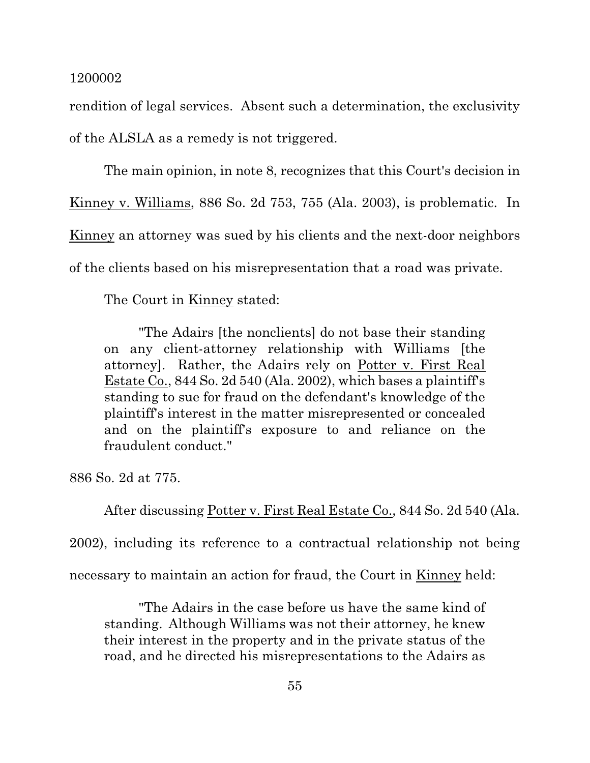rendition of legal services. Absent such a determination, the exclusivity of the ALSLA as a remedy is not triggered.

The main opinion, in note 8, recognizes that this Court's decision in Kinney v. Williams, 886 So. 2d 753, 755 (Ala. 2003), is problematic. In Kinney an attorney was sued by his clients and the next-door neighbors of the clients based on his misrepresentation that a road was private.

The Court in Kinney stated:

"The Adairs [the nonclients] do not base their standing on any client-attorney relationship with Williams [the attorney]. Rather, the Adairs rely on Potter v. First Real Estate Co., 844 So. 2d 540 (Ala. 2002), which bases a plaintiff's standing to sue for fraud on the defendant's knowledge of the plaintiff's interest in the matter misrepresented or concealed and on the plaintiff's exposure to and reliance on the fraudulent conduct."

886 So. 2d at 775.

After discussing Potter v. First Real Estate Co., 844 So. 2d 540 (Ala.

2002), including its reference to a contractual relationship not being

necessary to maintain an action for fraud, the Court in Kinney held:

"The Adairs in the case before us have the same kind of standing. Although Williams was not their attorney, he knew their interest in the property and in the private status of the road, and he directed his misrepresentations to the Adairs as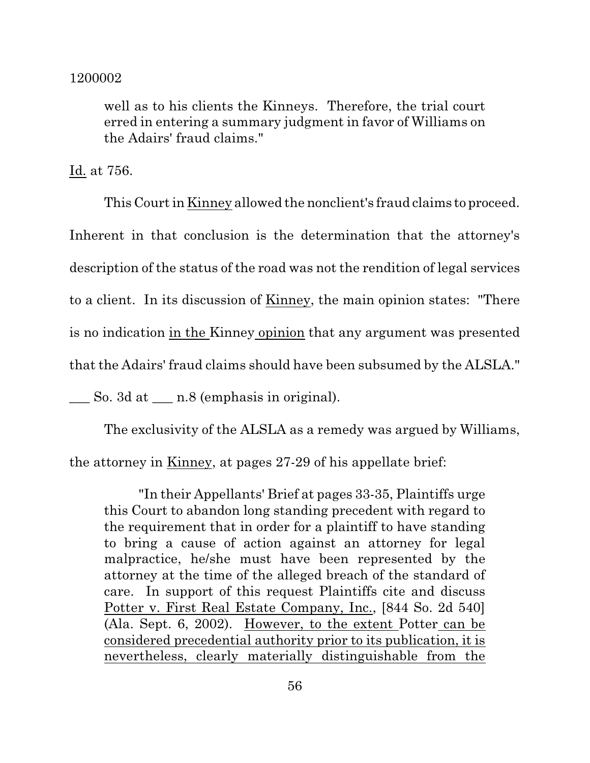well as to his clients the Kinneys. Therefore, the trial court erred in entering a summary judgment in favor of Williams on the Adairs' fraud claims."

Id. at 756.

This Courtin Kinney allowed the nonclient's fraud claims to proceed. Inherent in that conclusion is the determination that the attorney's description of the status of the road was not the rendition of legal services to a client. In its discussion of Kinney, the main opinion states: "There is no indication in the Kinney opinion that any argument was presented that the Adairs' fraud claims should have been subsumed by the ALSLA."

 $\_\_\_\$ So. 3d at  $\_\_\_\$ n.8 (emphasis in original).

The exclusivity of the ALSLA as a remedy was argued by Williams,

the attorney in Kinney, at pages 27-29 of his appellate brief:

"In their Appellants' Brief at pages 33-35, Plaintiffs urge this Court to abandon long standing precedent with regard to the requirement that in order for a plaintiff to have standing to bring a cause of action against an attorney for legal malpractice, he/she must have been represented by the attorney at the time of the alleged breach of the standard of care. In support of this request Plaintiffs cite and discuss Potter v. First Real Estate Company, Inc., [844 So. 2d 540] (Ala. Sept. 6, 2002). However, to the extent Potter can be considered precedential authority prior to its publication, it is nevertheless, clearly materially distinguishable from the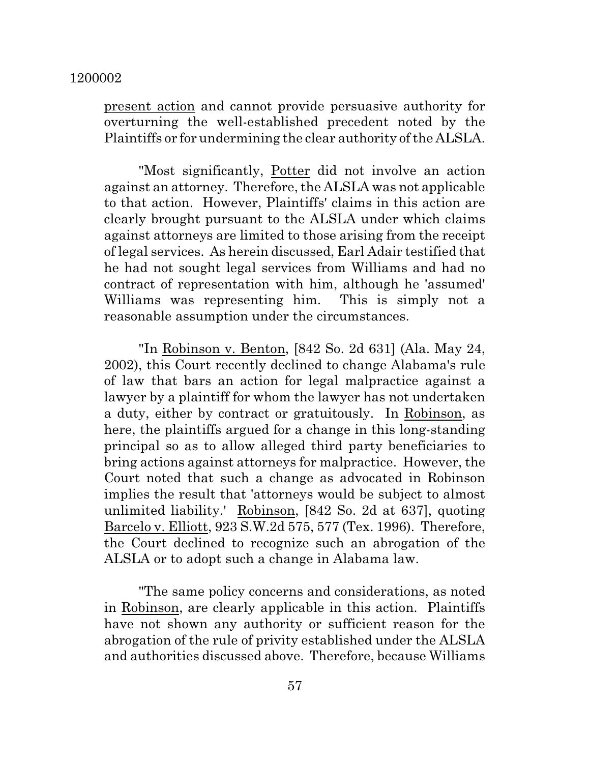present action and cannot provide persuasive authority for overturning the well-established precedent noted by the Plaintiffs or for undermining the clear authority of the ALSLA.

"Most significantly, Potter did not involve an action against an attorney. Therefore, the ALSLA was not applicable to that action. However, Plaintiffs' claims in this action are clearly brought pursuant to the ALSLA under which claims against attorneys are limited to those arising from the receipt of legal services. As herein discussed, Earl Adair testified that he had not sought legal services from Williams and had no contract of representation with him, although he 'assumed' Williams was representing him. This is simply not a reasonable assumption under the circumstances.

"In Robinson v. Benton, [842 So. 2d 631] (Ala. May 24, 2002), this Court recently declined to change Alabama's rule of law that bars an action for legal malpractice against a lawyer by a plaintiff for whom the lawyer has not undertaken a duty, either by contract or gratuitously. In Robinson, as here, the plaintiffs argued for a change in this long-standing principal so as to allow alleged third party beneficiaries to bring actions against attorneys for malpractice. However, the Court noted that such a change as advocated in Robinson implies the result that 'attorneys would be subject to almost unlimited liability.' Robinson, [842 So. 2d at 637], quoting Barcelo v. Elliott, 923 S.W.2d 575, 577 (Tex. 1996). Therefore, the Court declined to recognize such an abrogation of the ALSLA or to adopt such a change in Alabama law.

"The same policy concerns and considerations, as noted in Robinson, are clearly applicable in this action. Plaintiffs have not shown any authority or sufficient reason for the abrogation of the rule of privity established under the ALSLA and authorities discussed above. Therefore, because Williams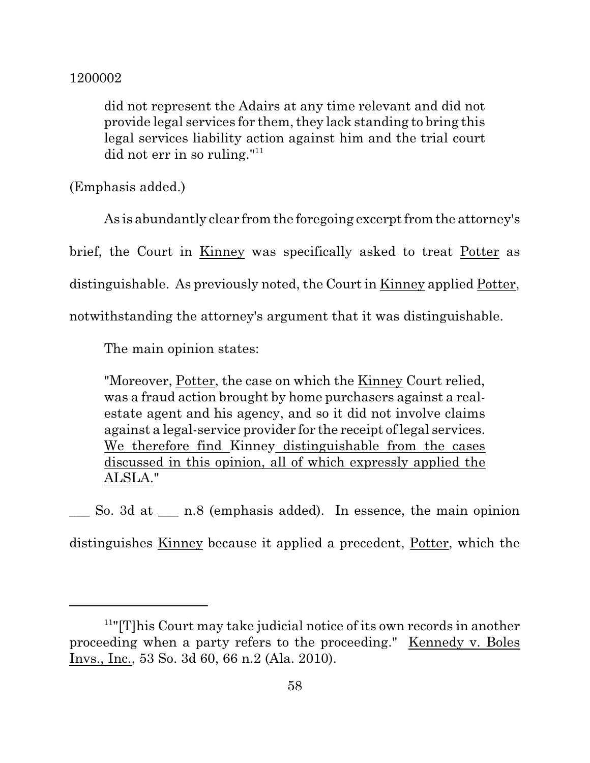did not represent the Adairs at any time relevant and did not provide legal services for them, they lack standing to bring this legal services liability action against him and the trial court did not err in so ruling."<sup>11</sup>

(Emphasis added.)

As is abundantly clear from the foregoing excerpt from the attorney's brief, the Court in Kinney was specifically asked to treat Potter as distinguishable. As previously noted, the Court in Kinney applied Potter, notwithstanding the attorney's argument that it was distinguishable.

The main opinion states:

"Moreover, Potter, the case on which the Kinney Court relied, was a fraud action brought by home purchasers against a realestate agent and his agency, and so it did not involve claims against a legal-service provider for the receipt of legal services. We therefore find Kinney distinguishable from the cases discussed in this opinion, all of which expressly applied the ALSLA."

\_\_\_ So. 3d at \_\_\_ n.8 (emphasis added). In essence, the main opinion distinguishes Kinney because it applied a precedent, Potter, which the

<sup>&</sup>lt;sup>11</sup>"[T]his Court may take judicial notice of its own records in another proceeding when a party refers to the proceeding." Kennedy v. Boles Invs., Inc., 53 So. 3d 60, 66 n.2 (Ala. 2010).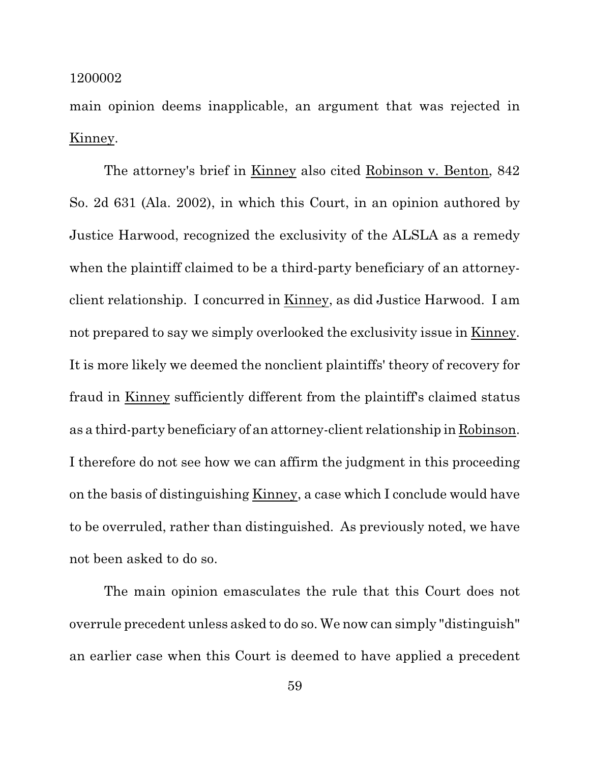main opinion deems inapplicable, an argument that was rejected in Kinney.

The attorney's brief in Kinney also cited Robinson v. Benton, 842 So. 2d 631 (Ala. 2002), in which this Court, in an opinion authored by Justice Harwood, recognized the exclusivity of the ALSLA as a remedy when the plaintiff claimed to be a third-party beneficiary of an attorneyclient relationship. I concurred in Kinney, as did Justice Harwood. I am not prepared to say we simply overlooked the exclusivity issue in Kinney. It is more likely we deemed the nonclient plaintiffs' theory of recovery for fraud in Kinney sufficiently different from the plaintiff's claimed status as a third-party beneficiary of an attorney-client relationship in Robinson. I therefore do not see how we can affirm the judgment in this proceeding on the basis of distinguishing Kinney, a case which I conclude would have to be overruled, rather than distinguished. As previously noted, we have not been asked to do so.

The main opinion emasculates the rule that this Court does not overrule precedent unless asked to do so. We now can simply "distinguish" an earlier case when this Court is deemed to have applied a precedent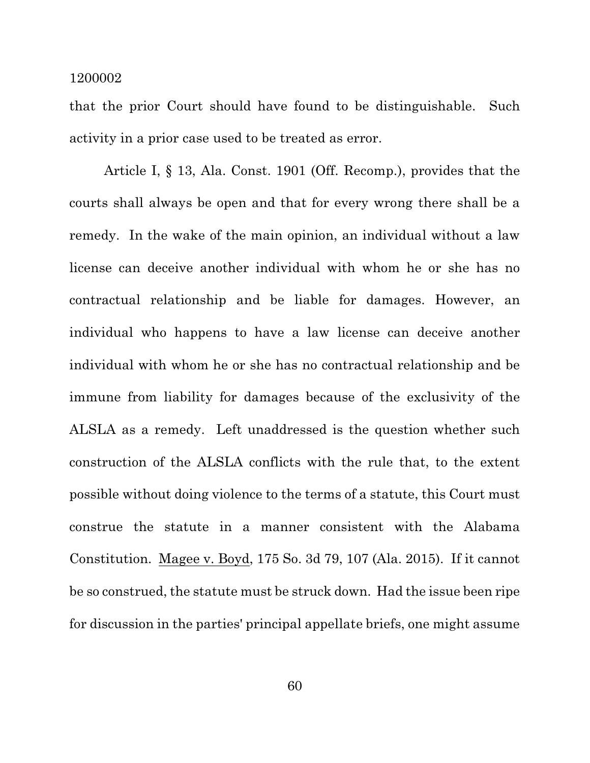that the prior Court should have found to be distinguishable. Such activity in a prior case used to be treated as error.

Article I, § 13, Ala. Const. 1901 (Off. Recomp.), provides that the courts shall always be open and that for every wrong there shall be a remedy. In the wake of the main opinion, an individual without a law license can deceive another individual with whom he or she has no contractual relationship and be liable for damages. However, an individual who happens to have a law license can deceive another individual with whom he or she has no contractual relationship and be immune from liability for damages because of the exclusivity of the ALSLA as a remedy. Left unaddressed is the question whether such construction of the ALSLA conflicts with the rule that, to the extent possible without doing violence to the terms of a statute, this Court must construe the statute in a manner consistent with the Alabama Constitution. Magee v. Boyd, 175 So. 3d 79, 107 (Ala. 2015). If it cannot be so construed, the statute must be struck down. Had the issue been ripe for discussion in the parties' principal appellate briefs, one might assume